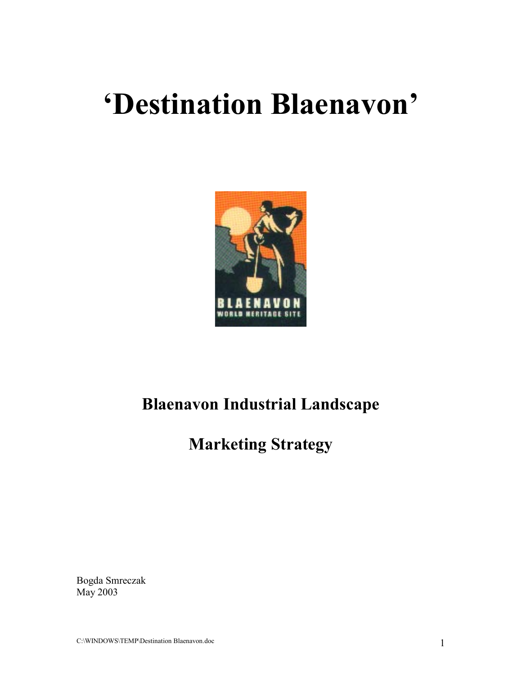# **'Destination Blaenavon'**



## **Blaenavon Industrial Landscape**

## **Marketing Strategy**

Bogda Smreczak May 2003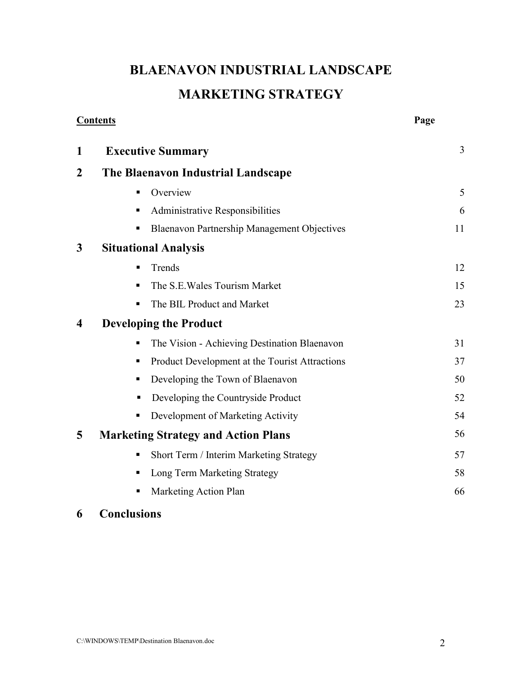## **BLAENAVON INDUSTRIAL LANDSCAPE MARKETING STRATEGY**

|                | <b>Contents</b>                                     | Page |
|----------------|-----------------------------------------------------|------|
| 1              | <b>Executive Summary</b>                            | 3    |
| $\overline{2}$ | The Blaenavon Industrial Landscape                  |      |
|                | Overview<br>٠                                       | 5    |
|                | Administrative Responsibilities<br>п                | 6    |
|                | <b>Blaenavon Partnership Management Objectives</b>  | 11   |
| $\mathbf{3}$   | <b>Situational Analysis</b>                         |      |
|                | Trends<br>٠                                         | 12   |
|                | The S.E. Wales Tourism Market<br>п                  | 15   |
|                | The BIL Product and Market<br>٠                     | 23   |
| 4              | <b>Developing the Product</b>                       |      |
|                | The Vision - Achieving Destination Blaenavon<br>٠   | 31   |
|                | Product Development at the Tourist Attractions<br>п | 37   |
|                | Developing the Town of Blaenavon<br>ш               | 50   |
|                | Developing the Countryside Product                  | 52   |
|                | Development of Marketing Activity<br>п              | 54   |
| 5              | <b>Marketing Strategy and Action Plans</b>          | 56   |
|                | Short Term / Interim Marketing Strategy<br>٠        | 57   |
|                | Long Term Marketing Strategy<br>п                   | 58   |
|                | Marketing Action Plan                               | 66   |

### **6 Conclusions**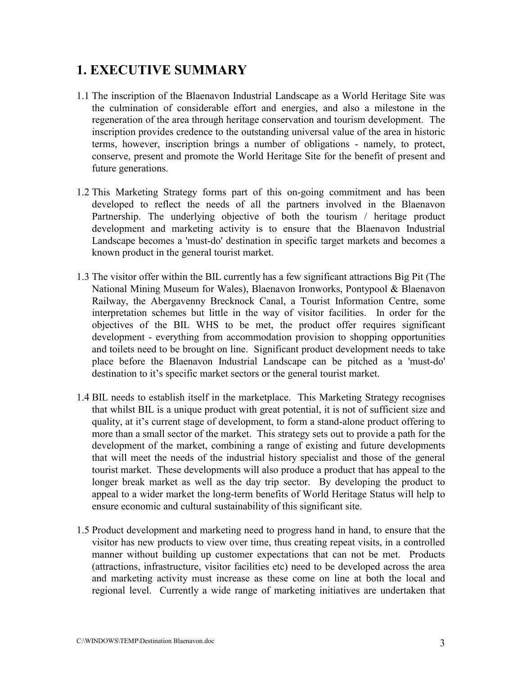### **1. EXECUTIVE SUMMARY**

- 1.1 The inscription of the Blaenavon Industrial Landscape as a World Heritage Site was the culmination of considerable effort and energies, and also a milestone in the regeneration of the area through heritage conservation and tourism development. The inscription provides credence to the outstanding universal value of the area in historic terms, however, inscription brings a number of obligations - namely, to protect, conserve, present and promote the World Heritage Site for the benefit of present and future generations.
- 1.2 This Marketing Strategy forms part of this on-going commitment and has been developed to reflect the needs of all the partners involved in the Blaenavon Partnership. The underlying objective of both the tourism / heritage product development and marketing activity is to ensure that the Blaenavon Industrial Landscape becomes a 'must-do' destination in specific target markets and becomes a known product in the general tourist market.
- 1.3 The visitor offer within the BIL currently has a few significant attractions Big Pit (The National Mining Museum for Wales), Blaenavon Ironworks, Pontypool & Blaenavon Railway, the Abergavenny Brecknock Canal, a Tourist Information Centre, some interpretation schemes but little in the way of visitor facilities. In order for the objectives of the BIL WHS to be met, the product offer requires significant development - everything from accommodation provision to shopping opportunities and toilets need to be brought on line. Significant product development needs to take place before the Blaenavon Industrial Landscape can be pitched as a 'must-do' destination to it's specific market sectors or the general tourist market.
- 1.4 BIL needs to establish itself in the marketplace. This Marketing Strategy recognises that whilst BIL is a unique product with great potential, it is not of sufficient size and quality, at it's current stage of development, to form a stand-alone product offering to more than a small sector of the market. This strategy sets out to provide a path for the development of the market, combining a range of existing and future developments that will meet the needs of the industrial history specialist and those of the general tourist market. These developments will also produce a product that has appeal to the longer break market as well as the day trip sector. By developing the product to appeal to a wider market the long-term benefits of World Heritage Status will help to ensure economic and cultural sustainability of this significant site.
- 1.5 Product development and marketing need to progress hand in hand, to ensure that the visitor has new products to view over time, thus creating repeat visits, in a controlled manner without building up customer expectations that can not be met. Products (attractions, infrastructure, visitor facilities etc) need to be developed across the area and marketing activity must increase as these come on line at both the local and regional level. Currently a wide range of marketing initiatives are undertaken that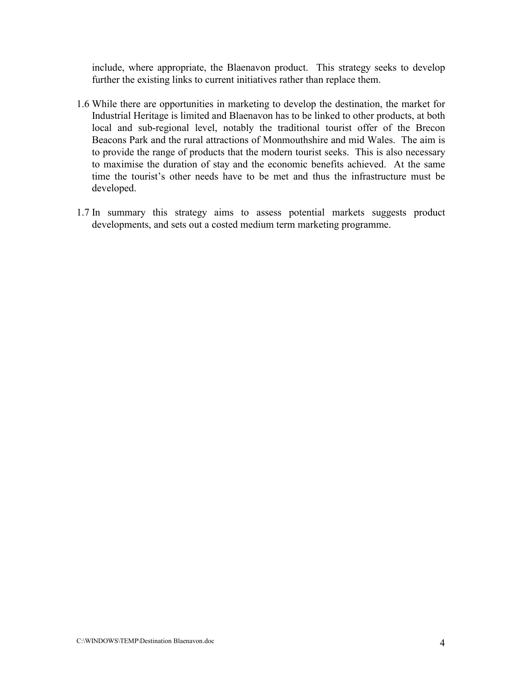include, where appropriate, the Blaenavon product. This strategy seeks to develop further the existing links to current initiatives rather than replace them.

- 1.6 While there are opportunities in marketing to develop the destination, the market for Industrial Heritage is limited and Blaenavon has to be linked to other products, at both local and sub-regional level, notably the traditional tourist offer of the Brecon Beacons Park and the rural attractions of Monmouthshire and mid Wales. The aim is to provide the range of products that the modern tourist seeks. This is also necessary to maximise the duration of stay and the economic benefits achieved. At the same time the tourist's other needs have to be met and thus the infrastructure must be developed.
- 1.7 In summary this strategy aims to assess potential markets suggests product developments, and sets out a costed medium term marketing programme.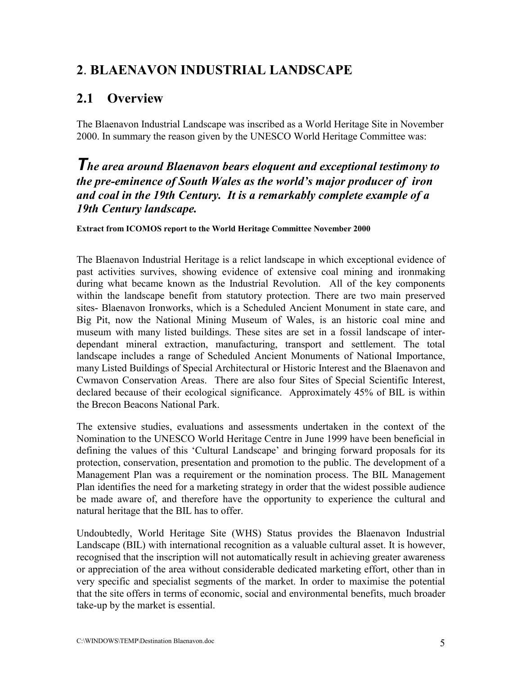### **2**. **BLAENAVON INDUSTRIAL LANDSCAPE**

### **2.1 Overview**

The Blaenavon Industrial Landscape was inscribed as a World Heritage Site in November 2000. In summary the reason given by the UNESCO World Heritage Committee was:

### *The area around Blaenavon bears eloquent and exceptional testimony to the pre-eminence of South Wales as the world's major producer of iron and coal in the 19th Century. It is a remarkably complete example of a 19th Century landscape.*

### **Extract from ICOMOS report to the World Heritage Committee November 2000**

The Blaenavon Industrial Heritage is a relict landscape in which exceptional evidence of past activities survives, showing evidence of extensive coal mining and ironmaking during what became known as the Industrial Revolution. All of the key components within the landscape benefit from statutory protection. There are two main preserved sites- Blaenavon Ironworks, which is a Scheduled Ancient Monument in state care, and Big Pit, now the National Mining Museum of Wales, is an historic coal mine and museum with many listed buildings. These sites are set in a fossil landscape of interdependant mineral extraction, manufacturing, transport and settlement. The total landscape includes a range of Scheduled Ancient Monuments of National Importance, many Listed Buildings of Special Architectural or Historic Interest and the Blaenavon and Cwmavon Conservation Areas. There are also four Sites of Special Scientific Interest, declared because of their ecological significance. Approximately 45% of BIL is within the Brecon Beacons National Park.

The extensive studies, evaluations and assessments undertaken in the context of the Nomination to the UNESCO World Heritage Centre in June 1999 have been beneficial in defining the values of this 'Cultural Landscape' and bringing forward proposals for its protection, conservation, presentation and promotion to the public. The development of a Management Plan was a requirement or the nomination process. The BIL Management Plan identifies the need for a marketing strategy in order that the widest possible audience be made aware of, and therefore have the opportunity to experience the cultural and natural heritage that the BIL has to offer.

Undoubtedly, World Heritage Site (WHS) Status provides the Blaenavon Industrial Landscape (BIL) with international recognition as a valuable cultural asset. It is however, recognised that the inscription will not automatically result in achieving greater awareness or appreciation of the area without considerable dedicated marketing effort, other than in very specific and specialist segments of the market. In order to maximise the potential that the site offers in terms of economic, social and environmental benefits, much broader take-up by the market is essential.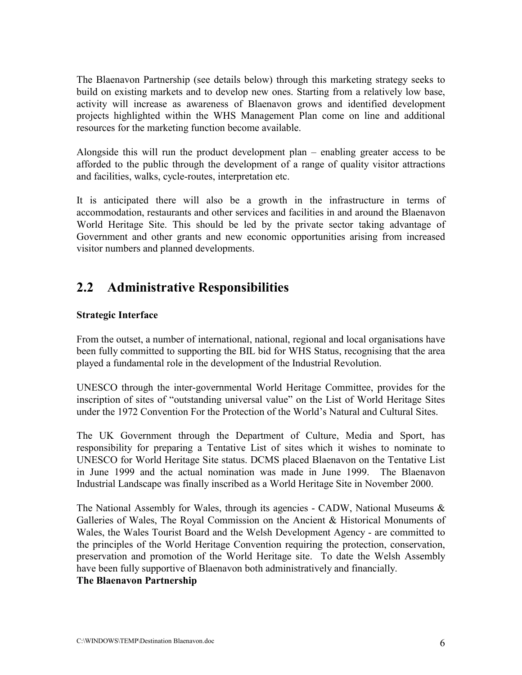The Blaenavon Partnership (see details below) through this marketing strategy seeks to build on existing markets and to develop new ones. Starting from a relatively low base, activity will increase as awareness of Blaenavon grows and identified development projects highlighted within the WHS Management Plan come on line and additional resources for the marketing function become available.

Alongside this will run the product development plan – enabling greater access to be afforded to the public through the development of a range of quality visitor attractions and facilities, walks, cycle-routes, interpretation etc.

It is anticipated there will also be a growth in the infrastructure in terms of accommodation, restaurants and other services and facilities in and around the Blaenavon World Heritage Site. This should be led by the private sector taking advantage of Government and other grants and new economic opportunities arising from increased visitor numbers and planned developments.

### **2.2 Administrative Responsibilities**

### **Strategic Interface**

From the outset, a number of international, national, regional and local organisations have been fully committed to supporting the BIL bid for WHS Status, recognising that the area played a fundamental role in the development of the Industrial Revolution.

UNESCO through the inter-governmental World Heritage Committee, provides for the inscription of sites of "outstanding universal value" on the List of World Heritage Sites under the 1972 Convention For the Protection of the World's Natural and Cultural Sites.

The UK Government through the Department of Culture, Media and Sport, has responsibility for preparing a Tentative List of sites which it wishes to nominate to UNESCO for World Heritage Site status. DCMS placed Blaenavon on the Tentative List in June 1999 and the actual nomination was made in June 1999. The Blaenavon Industrial Landscape was finally inscribed as a World Heritage Site in November 2000.

The National Assembly for Wales, through its agencies - CADW, National Museums  $\&$ Galleries of Wales, The Royal Commission on the Ancient & Historical Monuments of Wales, the Wales Tourist Board and the Welsh Development Agency - are committed to the principles of the World Heritage Convention requiring the protection, conservation, preservation and promotion of the World Heritage site. To date the Welsh Assembly have been fully supportive of Blaenavon both administratively and financially.

### **The Blaenavon Partnership**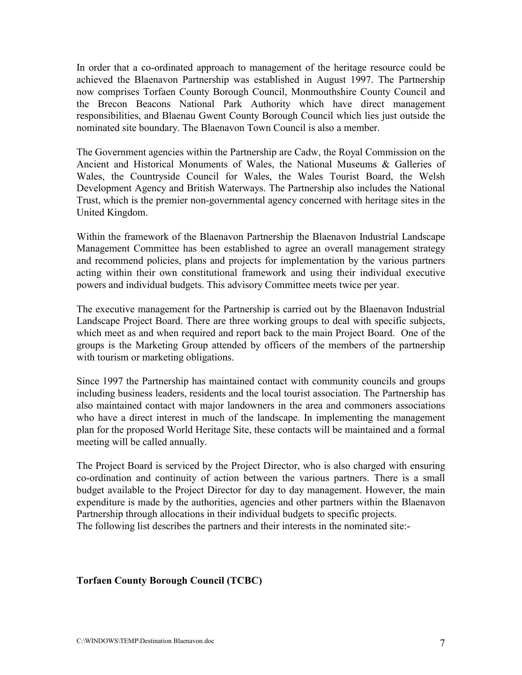In order that a co-ordinated approach to management of the heritage resource could be achieved the Blaenavon Partnership was established in August 1997. The Partnership now comprises Torfaen County Borough Council, Monmouthshire County Council and the Brecon Beacons National Park Authority which have direct management responsibilities, and Blaenau Gwent County Borough Council which lies just outside the nominated site boundary. The Blaenavon Town Council is also a member.

The Government agencies within the Partnership are Cadw, the Royal Commission on the Ancient and Historical Monuments of Wales, the National Museums & Galleries of Wales, the Countryside Council for Wales, the Wales Tourist Board, the Welsh Development Agency and British Waterways. The Partnership also includes the National Trust, which is the premier non-governmental agency concerned with heritage sites in the United Kingdom.

Within the framework of the Blaenavon Partnership the Blaenavon Industrial Landscape Management Committee has been established to agree an overall management strategy and recommend policies, plans and projects for implementation by the various partners acting within their own constitutional framework and using their individual executive powers and individual budgets. This advisory Committee meets twice per year.

The executive management for the Partnership is carried out by the Blaenavon Industrial Landscape Project Board. There are three working groups to deal with specific subjects, which meet as and when required and report back to the main Project Board. One of the groups is the Marketing Group attended by officers of the members of the partnership with tourism or marketing obligations.

Since 1997 the Partnership has maintained contact with community councils and groups including business leaders, residents and the local tourist association. The Partnership has also maintained contact with major landowners in the area and commoners associations who have a direct interest in much of the landscape. In implementing the management plan for the proposed World Heritage Site, these contacts will be maintained and a formal meeting will be called annually.

The Project Board is serviced by the Project Director, who is also charged with ensuring co-ordination and continuity of action between the various partners. There is a small budget available to the Project Director for day to day management. However, the main expenditure is made by the authorities, agencies and other partners within the Blaenavon Partnership through allocations in their individual budgets to specific projects. The following list describes the partners and their interests in the nominated site:-

### **Torfaen County Borough Council (TCBC)**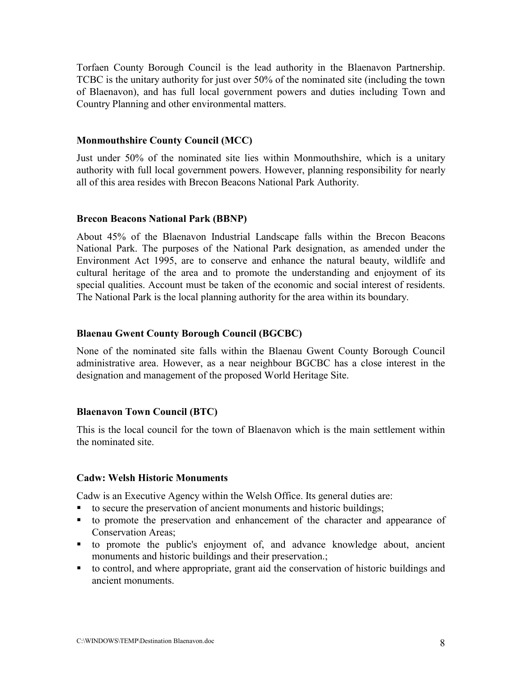Torfaen County Borough Council is the lead authority in the Blaenavon Partnership. TCBC is the unitary authority for just over 50% of the nominated site (including the town of Blaenavon), and has full local government powers and duties including Town and Country Planning and other environmental matters.

#### **Monmouthshire County Council (MCC)**

Just under 50% of the nominated site lies within Monmouthshire, which is a unitary authority with full local government powers. However, planning responsibility for nearly all of this area resides with Brecon Beacons National Park Authority.

#### **Brecon Beacons National Park (BBNP)**

About 45% of the Blaenavon Industrial Landscape falls within the Brecon Beacons National Park. The purposes of the National Park designation, as amended under the Environment Act 1995, are to conserve and enhance the natural beauty, wildlife and cultural heritage of the area and to promote the understanding and enjoyment of its special qualities. Account must be taken of the economic and social interest of residents. The National Park is the local planning authority for the area within its boundary.

#### **Blaenau Gwent County Borough Council (BGCBC)**

None of the nominated site falls within the Blaenau Gwent County Borough Council administrative area. However, as a near neighbour BGCBC has a close interest in the designation and management of the proposed World Heritage Site.

#### **Blaenavon Town Council (BTC)**

This is the local council for the town of Blaenavon which is the main settlement within the nominated site.

#### **Cadw: Welsh Historic Monuments**

Cadw is an Executive Agency within the Welsh Office. Its general duties are:

- to secure the preservation of ancient monuments and historic buildings;
- to promote the preservation and enhancement of the character and appearance of Conservation Areas;
- to promote the public's enjoyment of, and advance knowledge about, ancient monuments and historic buildings and their preservation.;
- to control, and where appropriate, grant aid the conservation of historic buildings and ancient monuments.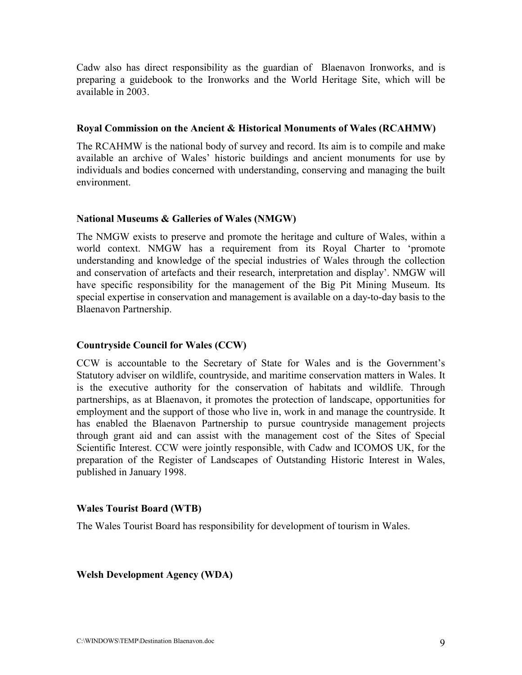Cadw also has direct responsibility as the guardian of Blaenavon Ironworks, and is preparing a guidebook to the Ironworks and the World Heritage Site, which will be available in 2003.

#### **Royal Commission on the Ancient & Historical Monuments of Wales (RCAHMW)**

The RCAHMW is the national body of survey and record. Its aim is to compile and make available an archive of Wales' historic buildings and ancient monuments for use by individuals and bodies concerned with understanding, conserving and managing the built environment.

### **National Museums & Galleries of Wales (NMGW)**

The NMGW exists to preserve and promote the heritage and culture of Wales, within a world context. NMGW has a requirement from its Royal Charter to 'promote understanding and knowledge of the special industries of Wales through the collection and conservation of artefacts and their research, interpretation and display'. NMGW will have specific responsibility for the management of the Big Pit Mining Museum. Its special expertise in conservation and management is available on a day-to-day basis to the Blaenavon Partnership.

### **Countryside Council for Wales (CCW)**

CCW is accountable to the Secretary of State for Wales and is the Government's Statutory adviser on wildlife, countryside, and maritime conservation matters in Wales. It is the executive authority for the conservation of habitats and wildlife. Through partnerships, as at Blaenavon, it promotes the protection of landscape, opportunities for employment and the support of those who live in, work in and manage the countryside. It has enabled the Blaenavon Partnership to pursue countryside management projects through grant aid and can assist with the management cost of the Sites of Special Scientific Interest. CCW were jointly responsible, with Cadw and ICOMOS UK, for the preparation of the Register of Landscapes of Outstanding Historic Interest in Wales, published in January 1998.

### **Wales Tourist Board (WTB)**

The Wales Tourist Board has responsibility for development of tourism in Wales.

### **Welsh Development Agency (WDA)**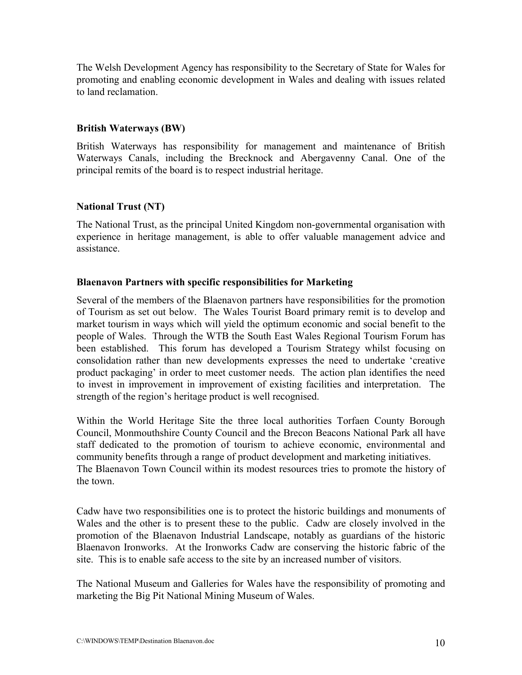The Welsh Development Agency has responsibility to the Secretary of State for Wales for promoting and enabling economic development in Wales and dealing with issues related to land reclamation.

### **British Waterways (BW)**

British Waterways has responsibility for management and maintenance of British Waterways Canals, including the Brecknock and Abergavenny Canal. One of the principal remits of the board is to respect industrial heritage.

### **National Trust (NT)**

The National Trust, as the principal United Kingdom non-governmental organisation with experience in heritage management, is able to offer valuable management advice and assistance.

### **Blaenavon Partners with specific responsibilities for Marketing**

Several of the members of the Blaenavon partners have responsibilities for the promotion of Tourism as set out below. The Wales Tourist Board primary remit is to develop and market tourism in ways which will yield the optimum economic and social benefit to the people of Wales. Through the WTB the South East Wales Regional Tourism Forum has been established. This forum has developed a Tourism Strategy whilst focusing on consolidation rather than new developments expresses the need to undertake 'creative product packaging' in order to meet customer needs. The action plan identifies the need to invest in improvement in improvement of existing facilities and interpretation. The strength of the region's heritage product is well recognised.

Within the World Heritage Site the three local authorities Torfaen County Borough Council, Monmouthshire County Council and the Brecon Beacons National Park all have staff dedicated to the promotion of tourism to achieve economic, environmental and community benefits through a range of product development and marketing initiatives. The Blaenavon Town Council within its modest resources tries to promote the history of the town.

Cadw have two responsibilities one is to protect the historic buildings and monuments of Wales and the other is to present these to the public. Cadw are closely involved in the promotion of the Blaenavon Industrial Landscape, notably as guardians of the historic Blaenavon Ironworks. At the Ironworks Cadw are conserving the historic fabric of the site. This is to enable safe access to the site by an increased number of visitors.

The National Museum and Galleries for Wales have the responsibility of promoting and marketing the Big Pit National Mining Museum of Wales.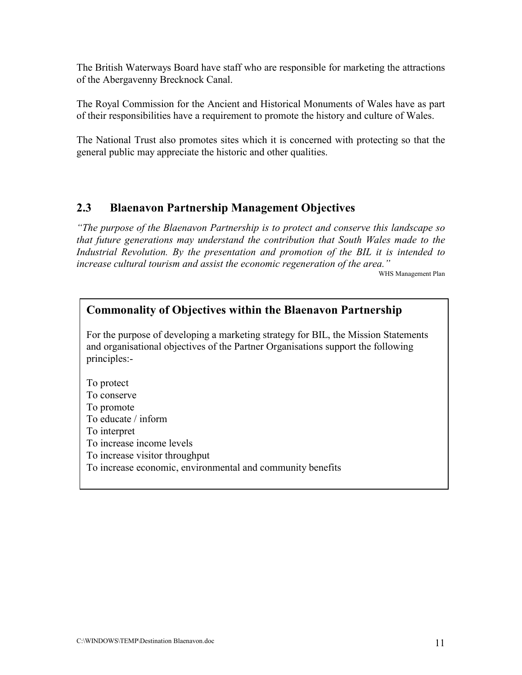The British Waterways Board have staff who are responsible for marketing the attractions of the Abergavenny Brecknock Canal.

The Royal Commission for the Ancient and Historical Monuments of Wales have as part of their responsibilities have a requirement to promote the history and culture of Wales.

The National Trust also promotes sites which it is concerned with protecting so that the general public may appreciate the historic and other qualities.

### **2.3 Blaenavon Partnership Management Objectives**

*"The purpose of the Blaenavon Partnership is to protect and conserve this landscape so that future generations may understand the contribution that South Wales made to the Industrial Revolution. By the presentation and promotion of the BIL it is intended to increase cultural tourism and assist the economic regeneration of the area."*

WHS Management Plan

### **Commonality of Objectives within the Blaenavon Partnership**

For the purpose of developing a marketing strategy for BIL, the Mission Statements and organisational objectives of the Partner Organisations support the following principles:-

To protect To conserve To promote To educate / inform To interpret To increase income levels To increase visitor throughput To increase economic, environmental and community benefits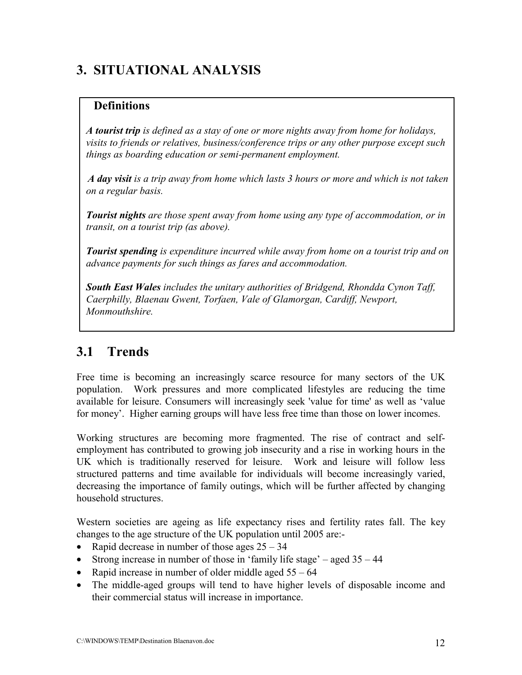### **3. SITUATIONAL ANALYSIS**

### **Definitions**

*A tourist trip is defined as a stay of one or more nights away from home for holidays, visits to friends or relatives, business/conference trips or any other purpose except such things as boarding education or semi-permanent employment.*

*A day visit is a trip away from home which lasts 3 hours or more and which is not taken on a regular basis.*

*Tourist nights are those spent away from home using any type of accommodation, or in transit, on a tourist trip (as above).*

*Tourist spending is expenditure incurred while away from home on a tourist trip and on advance payments for such things as fares and accommodation.*

*South East Wales includes the unitary authorities of Bridgend, Rhondda Cynon Taff, Caerphilly, Blaenau Gwent, Torfaen, Vale of Glamorgan, Cardiff, Newport, Monmouthshire.*

### **3.1 Trends**

Free time is becoming an increasingly scarce resource for many sectors of the UK population. Work pressures and more complicated lifestyles are reducing the time available for leisure. Consumers will increasingly seek 'value for time' as well as 'value for money'. Higher earning groups will have less free time than those on lower incomes.

Working structures are becoming more fragmented. The rise of contract and selfemployment has contributed to growing job insecurity and a rise in working hours in the UK which is traditionally reserved for leisure. Work and leisure will follow less structured patterns and time available for individuals will become increasingly varied, decreasing the importance of family outings, which will be further affected by changing household structures.

Western societies are ageing as life expectancy rises and fertility rates fall. The key changes to the age structure of the UK population until 2005 are:-

- Rapid decrease in number of those ages  $25 34$
- Strong increase in number of those in 'family life stage' aged  $35 44$
- Rapid increase in number of older middle aged  $55 64$
- The middle-aged groups will tend to have higher levels of disposable income and their commercial status will increase in importance.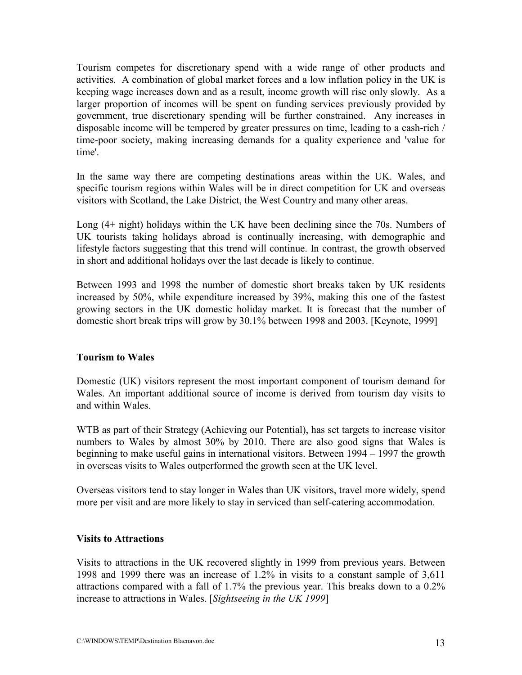Tourism competes for discretionary spend with a wide range of other products and activities. A combination of global market forces and a low inflation policy in the UK is keeping wage increases down and as a result, income growth will rise only slowly. As a larger proportion of incomes will be spent on funding services previously provided by government, true discretionary spending will be further constrained. Any increases in disposable income will be tempered by greater pressures on time, leading to a cash-rich / time-poor society, making increasing demands for a quality experience and 'value for time'.

In the same way there are competing destinations areas within the UK. Wales, and specific tourism regions within Wales will be in direct competition for UK and overseas visitors with Scotland, the Lake District, the West Country and many other areas.

Long (4+ night) holidays within the UK have been declining since the 70s. Numbers of UK tourists taking holidays abroad is continually increasing, with demographic and lifestyle factors suggesting that this trend will continue. In contrast, the growth observed in short and additional holidays over the last decade is likely to continue.

Between 1993 and 1998 the number of domestic short breaks taken by UK residents increased by 50%, while expenditure increased by 39%, making this one of the fastest growing sectors in the UK domestic holiday market. It is forecast that the number of domestic short break trips will grow by 30.1% between 1998 and 2003. [Keynote, 1999]

### **Tourism to Wales**

Domestic (UK) visitors represent the most important component of tourism demand for Wales. An important additional source of income is derived from tourism day visits to and within Wales.

WTB as part of their Strategy (Achieving our Potential), has set targets to increase visitor numbers to Wales by almost 30% by 2010. There are also good signs that Wales is beginning to make useful gains in international visitors. Between 1994 – 1997 the growth in overseas visits to Wales outperformed the growth seen at the UK level.

Overseas visitors tend to stay longer in Wales than UK visitors, travel more widely, spend more per visit and are more likely to stay in serviced than self-catering accommodation.

#### **Visits to Attractions**

Visits to attractions in the UK recovered slightly in 1999 from previous years. Between 1998 and 1999 there was an increase of 1.2% in visits to a constant sample of 3,611 attractions compared with a fall of 1.7% the previous year. This breaks down to a 0.2% increase to attractions in Wales. [*Sightseeing in the UK 1999*]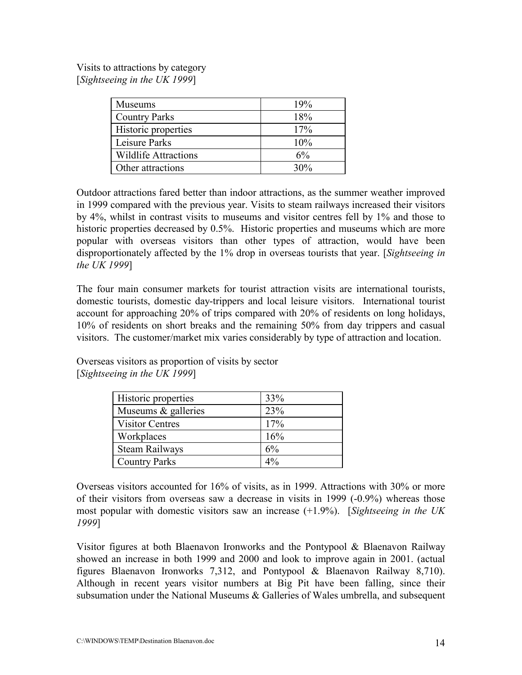Visits to attractions by category [*Sightseeing in the UK 1999*]

| <b>Museums</b>              | 19%   |
|-----------------------------|-------|
| <b>Country Parks</b>        | 18%   |
| Historic properties         | 17%   |
| Leisure Parks               | 10%   |
| <b>Wildlife Attractions</b> | $6\%$ |
| Other attractions           | 30%   |

Outdoor attractions fared better than indoor attractions, as the summer weather improved in 1999 compared with the previous year. Visits to steam railways increased their visitors by 4%, whilst in contrast visits to museums and visitor centres fell by 1% and those to historic properties decreased by 0.5%. Historic properties and museums which are more popular with overseas visitors than other types of attraction, would have been disproportionately affected by the 1% drop in overseas tourists that year. [*Sightseeing in the UK 1999*]

The four main consumer markets for tourist attraction visits are international tourists, domestic tourists, domestic day-trippers and local leisure visitors. International tourist account for approaching 20% of trips compared with 20% of residents on long holidays, 10% of residents on short breaks and the remaining 50% from day trippers and casual visitors. The customer/market mix varies considerably by type of attraction and location.

Overseas visitors as proportion of visits by sector [*Sightseeing in the UK 1999*]

| Historic properties    | 33%   |
|------------------------|-------|
| Museums & galleries    | 23%   |
| <b>Visitor Centres</b> | 17%   |
| Workplaces             | 16%   |
| <b>Steam Railways</b>  | 6%    |
| <b>Country Parks</b>   | $4\%$ |

Overseas visitors accounted for 16% of visits, as in 1999. Attractions with 30% or more of their visitors from overseas saw a decrease in visits in 1999 (-0.9%) whereas those most popular with domestic visitors saw an increase (+1.9%). [*Sightseeing in the UK 1999*]

Visitor figures at both Blaenavon Ironworks and the Pontypool & Blaenavon Railway showed an increase in both 1999 and 2000 and look to improve again in 2001. (actual figures Blaenavon Ironworks 7,312, and Pontypool & Blaenavon Railway 8,710). Although in recent years visitor numbers at Big Pit have been falling, since their subsumation under the National Museums & Galleries of Wales umbrella, and subsequent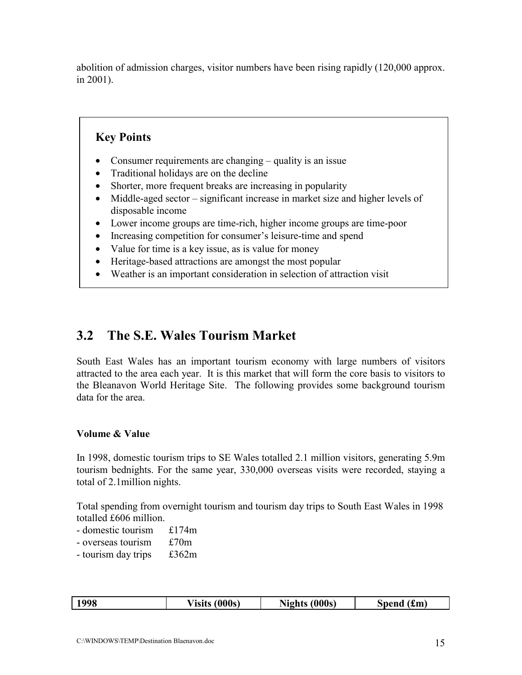abolition of admission charges, visitor numbers have been rising rapidly (120,000 approx. in 2001).

### **Key Points**

- Consumer requirements are changing quality is an issue
- Traditional holidays are on the decline
- Shorter, more frequent breaks are increasing in popularity
- Middle-aged sector significant increase in market size and higher levels of disposable income
- Lower income groups are time-rich, higher income groups are time-poor
- Increasing competition for consumer's leisure-time and spend
- Value for time is a key issue, as is value for money
- Heritage-based attractions are amongst the most popular
- Weather is an important consideration in selection of attraction visit

### **3.2 The S.E. Wales Tourism Market**

South East Wales has an important tourism economy with large numbers of visitors attracted to the area each year. It is this market that will form the core basis to visitors to the Bleanavon World Heritage Site. The following provides some background tourism data for the area.

### **Volume & Value**

In 1998, domestic tourism trips to SE Wales totalled 2.1 million visitors, generating 5.9m tourism bednights. For the same year, 330,000 overseas visits were recorded, staying a total of 2.1million nights.

Total spending from overnight tourism and tourism day trips to South East Wales in 1998 totalled £606 million.

- domestic tourism £174m
- overseas tourism £70m
- tourism day trips £362m

|  | 998 | (000s)<br>a/ icite<br>юць | (000s)<br>Nights | $\sqrt{2}$<br>Spend<br>.£m) |
|--|-----|---------------------------|------------------|-----------------------------|
|--|-----|---------------------------|------------------|-----------------------------|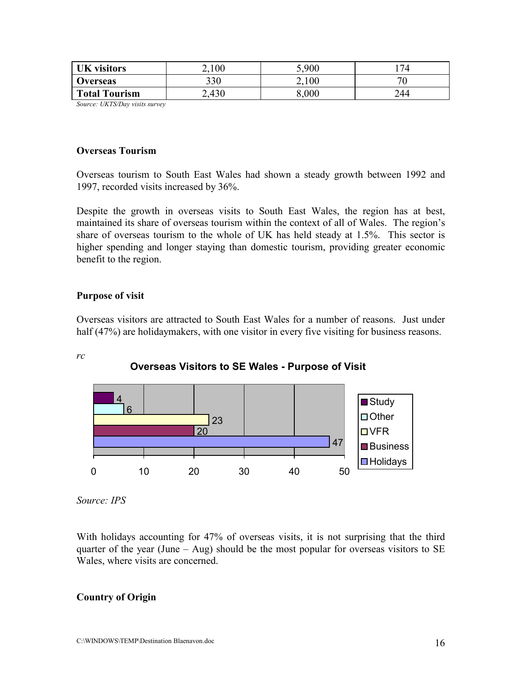| <b>UK</b> visitors   | 100 | 5,900 | 74                       |
|----------------------|-----|-------|--------------------------|
| <b>Overseas</b>      | 330 | 2,100 | $\overline{\phantom{a}}$ |
| <b>Total Tourism</b> | 430 | 8.000 | 244                      |

*Source: UKTS/Day visits survey*

#### **Overseas Tourism**

Overseas tourism to South East Wales had shown a steady growth between 1992 and 1997, recorded visits increased by 36%.

Despite the growth in overseas visits to South East Wales, the region has at best, maintained its share of overseas tourism within the context of all of Wales. The region's share of overseas tourism to the whole of UK has held steady at 1.5%. This sector is higher spending and longer staying than domestic tourism, providing greater economic benefit to the region.

#### **Purpose of visit**

Overseas visitors are attracted to South East Wales for a number of reasons. Just under half (47%) are holiday makers, with one visitor in every five visiting for business reasons.

#### *rc*





*Source: IPS*

With holidays accounting for 47% of overseas visits, it is not surprising that the third quarter of the year (June  $-$  Aug) should be the most popular for overseas visitors to SE Wales, where visits are concerned.

#### **Country of Origin**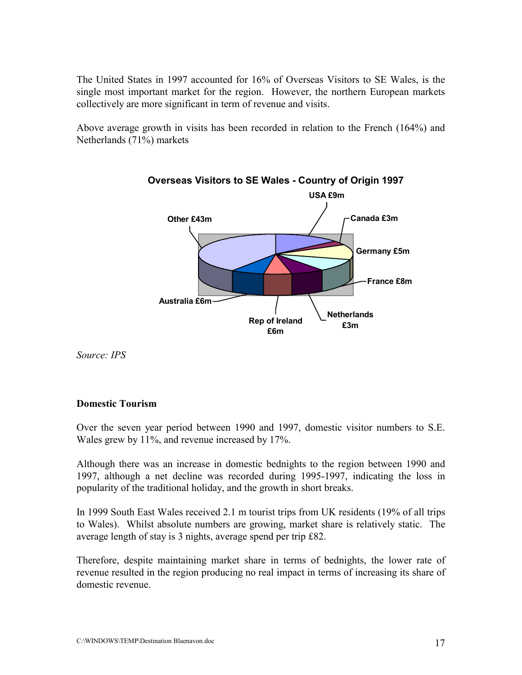The United States in 1997 accounted for 16% of Overseas Visitors to SE Wales, is the single most important market for the region. However, the northern European markets collectively are more significant in term of revenue and visits.

Above average growth in visits has been recorded in relation to the French (164%) and Netherlands (71%) markets



**Overseas Visitors to SE Wales - Country of Origin 1997**

*Source: IPS*

### **Domestic Tourism**

Over the seven year period between 1990 and 1997, domestic visitor numbers to S.E. Wales grew by 11%, and revenue increased by 17%.

Although there was an increase in domestic bednights to the region between 1990 and 1997, although a net decline was recorded during 1995-1997, indicating the loss in popularity of the traditional holiday, and the growth in short breaks.

In 1999 South East Wales received 2.1 m tourist trips from UK residents (19% of all trips to Wales). Whilst absolute numbers are growing, market share is relatively static. The average length of stay is 3 nights, average spend per trip £82.

Therefore, despite maintaining market share in terms of bednights, the lower rate of revenue resulted in the region producing no real impact in terms of increasing its share of domestic revenue.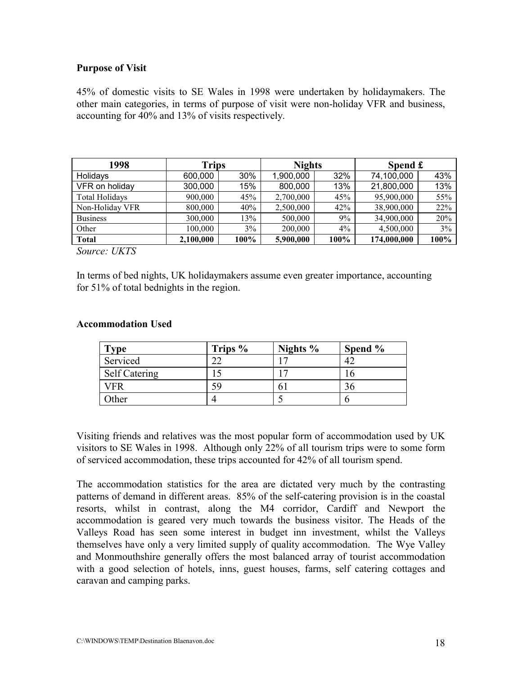### **Purpose of Visit**

45% of domestic visits to SE Wales in 1998 were undertaken by holidaymakers. The other main categories, in terms of purpose of visit were non-holiday VFR and business, accounting for 40% and 13% of visits respectively.

| 1998            | <b>Trips</b> |      | <b>Nights</b> |       | Spend £     |      |
|-----------------|--------------|------|---------------|-------|-------------|------|
| Holidays        | 600,000      | 30%  | 1,900,000     | 32%   | 74,100,000  | 43%  |
| VFR on holiday  | 300,000      | 15%  | 800,000       | 13%   | 21,800,000  | 13%  |
| Total Holidays  | 900,000      | 45%  | 2,700,000     | 45%   | 95,900,000  | 55%  |
| Non-Holiday VFR | 800,000      | 40%  | 2,500,000     | 42%   | 38,900,000  | 22%  |
| <b>Business</b> | 300,000      | 13%  | 500,000       | 9%    | 34,900,000  | 20%  |
| Other           | 100,000      | 3%   | 200,000       | $4\%$ | 4,500,000   | 3%   |
| <b>Total</b>    | 2,100,000    | 100% | 5,900,000     | 100%  | 174,000,000 | 100% |

*Source: UKTS*

In terms of bed nights, UK holidaymakers assume even greater importance, accounting for 51% of total bednights in the region.

#### **Accommodation Used**

| Type                 | Trips % | Nights $%$ | Spend % |
|----------------------|---------|------------|---------|
| Serviced             | າາ      |            |         |
| <b>Self Catering</b> |         |            |         |
| VFR                  | 59      |            |         |
| Other                |         |            |         |

Visiting friends and relatives was the most popular form of accommodation used by UK visitors to SE Wales in 1998. Although only 22% of all tourism trips were to some form of serviced accommodation, these trips accounted for 42% of all tourism spend.

The accommodation statistics for the area are dictated very much by the contrasting patterns of demand in different areas. 85% of the self-catering provision is in the coastal resorts, whilst in contrast, along the M4 corridor, Cardiff and Newport the accommodation is geared very much towards the business visitor. The Heads of the Valleys Road has seen some interest in budget inn investment, whilst the Valleys themselves have only a very limited supply of quality accommodation. The Wye Valley and Monmouthshire generally offers the most balanced array of tourist accommodation with a good selection of hotels, inns, guest houses, farms, self catering cottages and caravan and camping parks.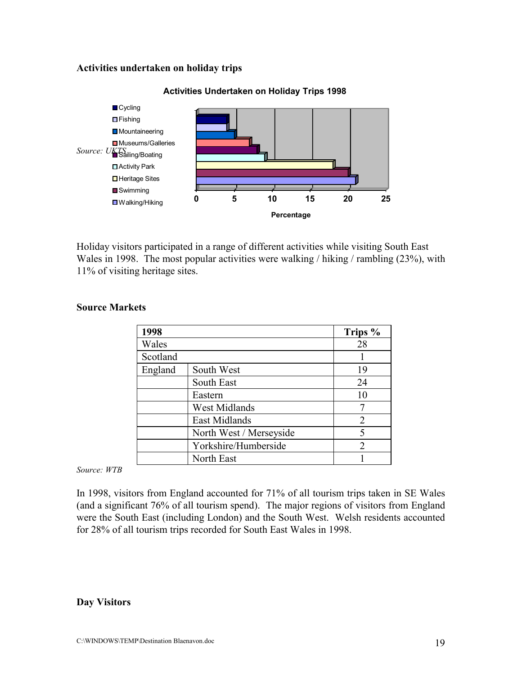#### **Activities undertaken on holiday trips**



#### **Activities Undertaken on Holiday Trips 1998**

Holiday visitors participated in a range of different activities while visiting South East Wales in 1998. The most popular activities were walking / hiking / rambling (23%), with 11% of visiting heritage sites.

| 1998     |                         | Trips % |
|----------|-------------------------|---------|
| Wales    |                         | 28      |
| Scotland |                         |         |
| England  | South West              | 19      |
|          | South East              | 24      |
|          | Eastern                 | 10      |
|          | <b>West Midlands</b>    |         |
|          | East Midlands           | 2       |
|          | North West / Merseyside | 5       |
|          | Yorkshire/Humberside    | 2       |
|          | North East              |         |

#### **Source Markets**

*Source: WTB*

In 1998, visitors from England accounted for 71% of all tourism trips taken in SE Wales (and a significant 76% of all tourism spend). The major regions of visitors from England were the South East (including London) and the South West. Welsh residents accounted for 28% of all tourism trips recorded for South East Wales in 1998.

#### **Day Visitors**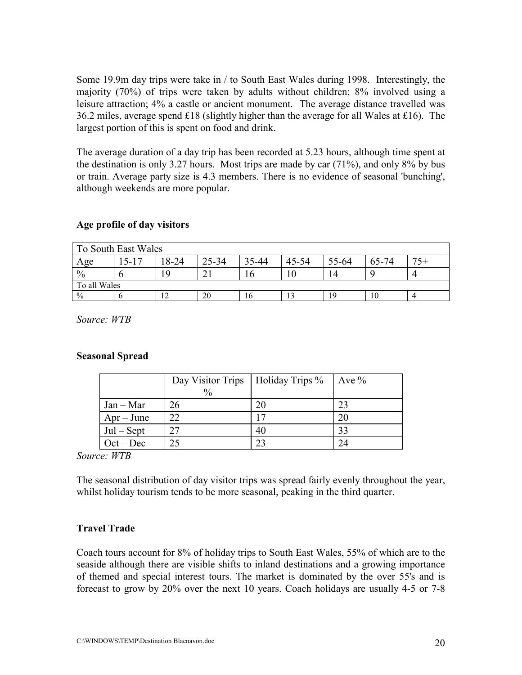Some 19.9m day trips were take in / to South East Wales during 1998. Interestingly, the majority (70%) of trips were taken by adults without children; 8% involved using a leisure attraction; 4% a castle or ancient monument. The average distance travelled was 36.2 miles, average spend £18 (slightly higher than the average for all Wales at £16). The largest portion of this is spent on food and drink.

The average duration of a day trip has been recorded at 5.23 hours, although time spent at the destination is only 3.27 hours. Most trips are made by car (71%), and only 8% by bus or train. Average party size is 4.3 members. There is no evidence of seasonal 'bunching', although weekends are more popular.

### **Age profile of day visitors**

| To South East Wales |          |       |       |       |           |       |       |       |
|---------------------|----------|-------|-------|-------|-----------|-------|-------|-------|
| Age                 | $5 - 17$ | 18-24 | 25-34 | 35-44 | $45 - 54$ | 55-64 | 65-74 | $75+$ |
| $\frac{0}{0}$       |          | -9    |       |       |           | Δ     |       |       |
| To all Wales        |          |       |       |       |           |       |       |       |
| $\frac{0}{0}$       |          | 12    | 20    | 16    |           | ۱۹    | 10    |       |

*Source: WTB*

#### **Seasonal Spread**

|              | Day Visitor Trips   Holiday Trips % |     | Ave $\%$ |
|--------------|-------------------------------------|-----|----------|
|              | $\frac{0}{0}$                       |     |          |
| $Jan - Mar$  | 26                                  | 20  | 23       |
| $Apr - June$ | 22                                  | ר ו | 20       |
| $Jul - Sept$ | 27                                  | 40  | 33       |
| $Oct - Dec$  | 25                                  | 23  | 24       |

#### *Source: WTB*

The seasonal distribution of day visitor trips was spread fairly evenly throughout the year, whilst holiday tourism tends to be more seasonal, peaking in the third quarter.

### **Travel Trade**

Coach tours account for 8% of holiday trips to South East Wales, 55% of which are to the seaside although there are visible shifts to inland destinations and a growing importance of themed and special interest tours. The market is dominated by the over 55's and is forecast to grow by 20% over the next 10 years. Coach holidays are usually 4-5 or 7-8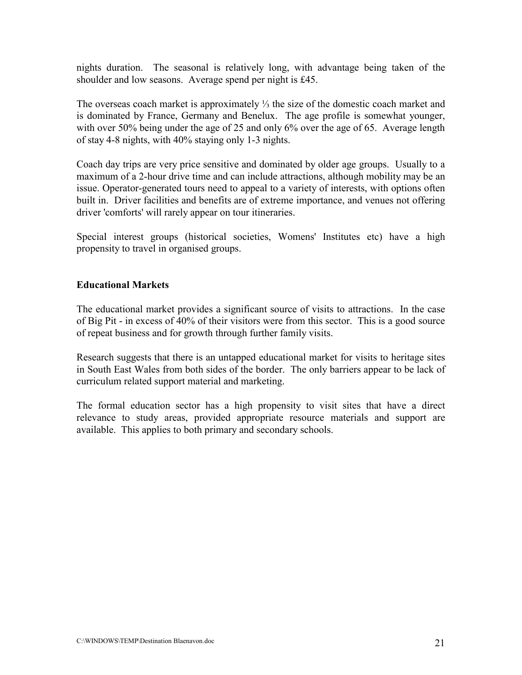nights duration. The seasonal is relatively long, with advantage being taken of the shoulder and low seasons. Average spend per night is £45.

The overseas coach market is approximately ⅓ the size of the domestic coach market and is dominated by France, Germany and Benelux. The age profile is somewhat younger, with over 50% being under the age of 25 and only 6% over the age of 65. Average length of stay 4-8 nights, with 40% staying only 1-3 nights.

Coach day trips are very price sensitive and dominated by older age groups. Usually to a maximum of a 2-hour drive time and can include attractions, although mobility may be an issue. Operator-generated tours need to appeal to a variety of interests, with options often built in. Driver facilities and benefits are of extreme importance, and venues not offering driver 'comforts' will rarely appear on tour itineraries.

Special interest groups (historical societies, Womens' Institutes etc) have a high propensity to travel in organised groups.

### **Educational Markets**

The educational market provides a significant source of visits to attractions. In the case of Big Pit - in excess of 40% of their visitors were from this sector. This is a good source of repeat business and for growth through further family visits.

Research suggests that there is an untapped educational market for visits to heritage sites in South East Wales from both sides of the border. The only barriers appear to be lack of curriculum related support material and marketing.

The formal education sector has a high propensity to visit sites that have a direct relevance to study areas, provided appropriate resource materials and support are available. This applies to both primary and secondary schools.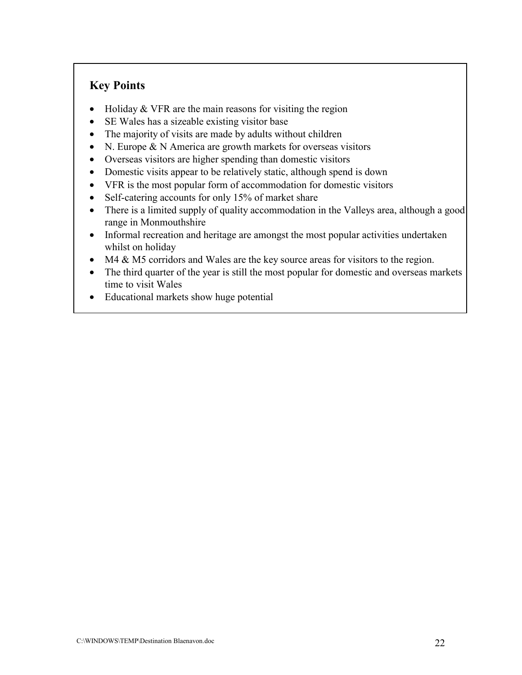### **Key Points**

- Holiday  $&$  VFR are the main reasons for visiting the region
- SE Wales has a sizeable existing visitor base
- The majority of visits are made by adults without children
- N. Europe & N America are growth markets for overseas visitors
- Overseas visitors are higher spending than domestic visitors
- Domestic visits appear to be relatively static, although spend is down
- VFR is the most popular form of accommodation for domestic visitors
- Self-catering accounts for only 15% of market share
- There is a limited supply of quality accommodation in the Valleys area, although a good range in Monmouthshire
- Informal recreation and heritage are amongst the most popular activities undertaken whilst on holiday
- M4 & M5 corridors and Wales are the key source areas for visitors to the region.
- The third quarter of the year is still the most popular for domestic and overseas markets time to visit Wales
- Educational markets show huge potential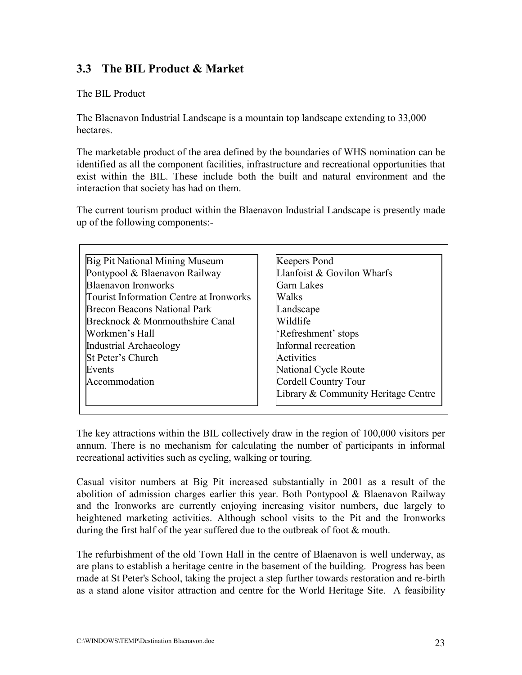### **3.3 The BIL Product & Market**

The BIL Product

The Blaenavon Industrial Landscape is a mountain top landscape extending to 33,000 hectares.

The marketable product of the area defined by the boundaries of WHS nomination can be identified as all the component facilities, infrastructure and recreational opportunities that exist within the BIL. These include both the built and natural environment and the interaction that society has had on them.

The current tourism product within the Blaenavon Industrial Landscape is presently made up of the following components:-

| Big Pit National Mining Museum          | <b>Keepers Pond</b>                 |
|-----------------------------------------|-------------------------------------|
| Pontypool & Blaenavon Railway           | Llanfoist & Govilon Wharfs          |
| <b>Blaenavon Ironworks</b>              | <b>Garn Lakes</b>                   |
| Tourist Information Centre at Ironworks | Walks                               |
| <b>Brecon Beacons National Park</b>     | Landscape                           |
| Brecknock & Monmouthshire Canal         | Wildlife                            |
| Workmen's Hall                          | 'Refreshment' stops                 |
| Industrial Archaeology                  | Informal recreation                 |
| <b>St Peter's Church</b>                | Activities                          |
| Events                                  | National Cycle Route                |
| Accommodation                           | Cordell Country Tour                |
|                                         | Library & Community Heritage Centre |

The key attractions within the BIL collectively draw in the region of 100,000 visitors per annum. There is no mechanism for calculating the number of participants in informal recreational activities such as cycling, walking or touring.

Casual visitor numbers at Big Pit increased substantially in 2001 as a result of the abolition of admission charges earlier this year. Both Pontypool & Blaenavon Railway and the Ironworks are currently enjoying increasing visitor numbers, due largely to heightened marketing activities. Although school visits to the Pit and the Ironworks during the first half of the year suffered due to the outbreak of foot & mouth.

The refurbishment of the old Town Hall in the centre of Blaenavon is well underway, as are plans to establish a heritage centre in the basement of the building. Progress has been made at St Peter's School, taking the project a step further towards restoration and re-birth as a stand alone visitor attraction and centre for the World Heritage Site. A feasibility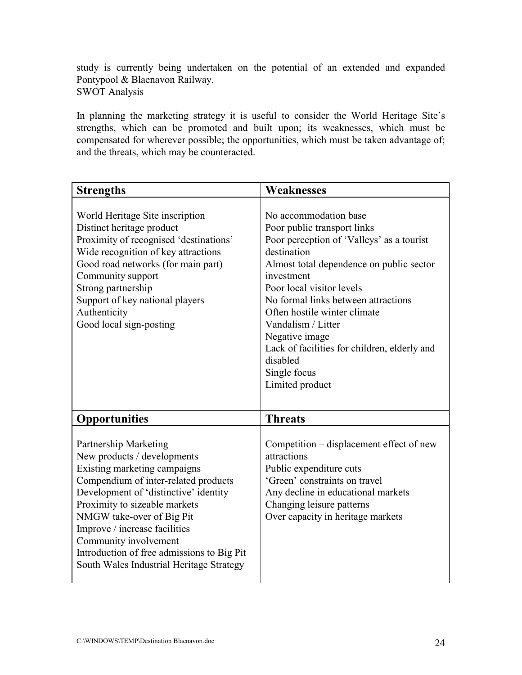study is currently being undertaken on the potential of an extended and expanded Pontypool & Blaenavon Railway. SWOT Analysis

In planning the marketing strategy it is useful to consider the World Heritage Site's strengths, which can be promoted and built upon; its weaknesses, which must be compensated for wherever possible; the opportunities, which must be taken advantage of; and the threats, which may be counteracted.

| <b>Strengths</b>                                                                                                                                                                                                                                                                                                                                                                               | Weaknesses                                                                                                                                                                                                                                                                                                                                                                                                            |
|------------------------------------------------------------------------------------------------------------------------------------------------------------------------------------------------------------------------------------------------------------------------------------------------------------------------------------------------------------------------------------------------|-----------------------------------------------------------------------------------------------------------------------------------------------------------------------------------------------------------------------------------------------------------------------------------------------------------------------------------------------------------------------------------------------------------------------|
| World Heritage Site inscription<br>Distinct heritage product<br>Proximity of recognised 'destinations'<br>Wide recognition of key attractions<br>Good road networks (for main part)<br>Community support<br>Strong partnership<br>Support of key national players<br>Authenticity<br>Good local sign-posting                                                                                   | No accommodation base<br>Poor public transport links<br>Poor perception of 'Valleys' as a tourist<br>destination<br>Almost total dependence on public sector<br>investment<br>Poor local visitor levels<br>No formal links between attractions<br>Often hostile winter climate<br>Vandalism / Litter<br>Negative image<br>Lack of facilities for children, elderly and<br>disabled<br>Single focus<br>Limited product |
| <b>Opportunities</b>                                                                                                                                                                                                                                                                                                                                                                           | <b>Threats</b>                                                                                                                                                                                                                                                                                                                                                                                                        |
| <b>Partnership Marketing</b><br>New products / developments<br>Existing marketing campaigns<br>Compendium of inter-related products<br>Development of 'distinctive' identity<br>Proximity to sizeable markets<br>NMGW take-over of Big Pit<br>Improve / increase facilities<br>Community involvement<br>Introduction of free admissions to Big Pit<br>South Wales Industrial Heritage Strategy | Competition – displacement effect of new<br>attractions<br>Public expenditure cuts<br>'Green' constraints on travel<br>Any decline in educational markets<br>Changing leisure patterns<br>Over capacity in heritage markets                                                                                                                                                                                           |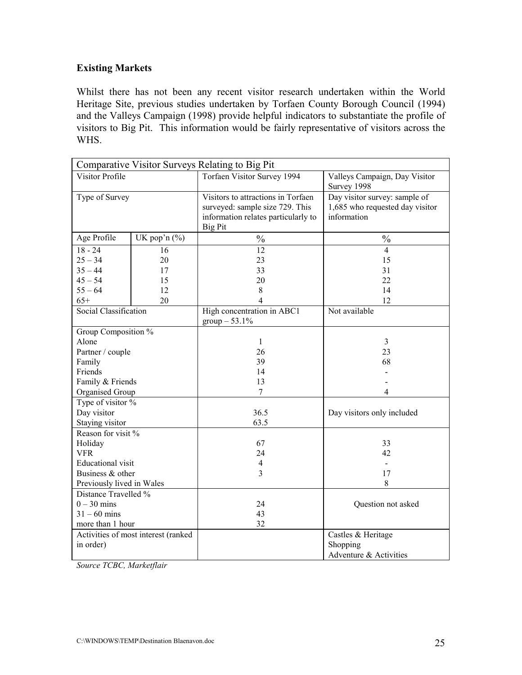### **Existing Markets**

Whilst there has not been any recent visitor research undertaken within the World Heritage Site, previous studies undertaken by Torfaen County Borough Council (1994) and the Valleys Campaign (1998) provide helpful indicators to substantiate the profile of visitors to Big Pit. This information would be fairly representative of visitors across the WHS.

| Comparative Visitor Surveys Relating to Big Pit |                                     |                                                                                                                                |                                                                                 |  |  |  |  |
|-------------------------------------------------|-------------------------------------|--------------------------------------------------------------------------------------------------------------------------------|---------------------------------------------------------------------------------|--|--|--|--|
| Visitor Profile                                 |                                     | Torfaen Visitor Survey 1994                                                                                                    | Valleys Campaign, Day Visitor<br>Survey 1998                                    |  |  |  |  |
| Type of Survey                                  |                                     | Visitors to attractions in Torfaen<br>surveyed: sample size 729. This<br>information relates particularly to<br><b>Big Pit</b> | Day visitor survey: sample of<br>1,685 who requested day visitor<br>information |  |  |  |  |
| Age Profile                                     | UK pop'n $(\% )$                    | $\frac{0}{0}$                                                                                                                  | $\frac{0}{0}$                                                                   |  |  |  |  |
| $18 - 24$                                       | 16                                  | 12                                                                                                                             | $\overline{4}$                                                                  |  |  |  |  |
| $25 - 34$                                       | 20                                  | 23                                                                                                                             | 15                                                                              |  |  |  |  |
| $35 - 44$                                       | 17                                  | 33                                                                                                                             | 31                                                                              |  |  |  |  |
| $45 - 54$                                       | 15                                  | 20                                                                                                                             | 22                                                                              |  |  |  |  |
| $55 - 64$                                       | 12                                  | 8                                                                                                                              | 14                                                                              |  |  |  |  |
| $65+$                                           | 20                                  | 4                                                                                                                              | 12                                                                              |  |  |  |  |
| Social Classification                           |                                     | High concentration in ABC1<br>$group - 53.1\%$                                                                                 | Not available                                                                   |  |  |  |  |
| Group Composition %                             |                                     |                                                                                                                                |                                                                                 |  |  |  |  |
| Alone                                           |                                     | 1                                                                                                                              | 3                                                                               |  |  |  |  |
| Partner / couple                                |                                     | 26                                                                                                                             | 23                                                                              |  |  |  |  |
| Family                                          |                                     | 39                                                                                                                             | 68                                                                              |  |  |  |  |
| Friends                                         |                                     | 14                                                                                                                             |                                                                                 |  |  |  |  |
| Family & Friends                                |                                     | 13                                                                                                                             |                                                                                 |  |  |  |  |
| Organised Group                                 |                                     | $\overline{7}$                                                                                                                 | 4                                                                               |  |  |  |  |
| Type of visitor %                               |                                     |                                                                                                                                |                                                                                 |  |  |  |  |
| Day visitor                                     |                                     | 36.5                                                                                                                           | Day visitors only included                                                      |  |  |  |  |
| Staying visitor                                 |                                     | 63.5                                                                                                                           |                                                                                 |  |  |  |  |
| Reason for visit %                              |                                     |                                                                                                                                |                                                                                 |  |  |  |  |
| Holiday                                         |                                     | 67                                                                                                                             | 33                                                                              |  |  |  |  |
| <b>VFR</b>                                      |                                     | 24                                                                                                                             | 42                                                                              |  |  |  |  |
| <b>Educational</b> visit                        |                                     | $\overline{4}$                                                                                                                 | $\overline{a}$                                                                  |  |  |  |  |
| Business & other                                |                                     | 3                                                                                                                              | 17                                                                              |  |  |  |  |
| Previously lived in Wales                       |                                     |                                                                                                                                | 8                                                                               |  |  |  |  |
| Distance Travelled %                            |                                     |                                                                                                                                |                                                                                 |  |  |  |  |
| $0 - 30$ mins                                   |                                     | 24                                                                                                                             | Question not asked                                                              |  |  |  |  |
| $31 - 60$ mins                                  |                                     | 43                                                                                                                             |                                                                                 |  |  |  |  |
| more than 1 hour                                |                                     | 32                                                                                                                             |                                                                                 |  |  |  |  |
|                                                 | Activities of most interest (ranked |                                                                                                                                | Castles & Heritage                                                              |  |  |  |  |
| in order)                                       |                                     |                                                                                                                                | Shopping                                                                        |  |  |  |  |
|                                                 |                                     |                                                                                                                                | Adventure & Activities                                                          |  |  |  |  |

*Source TCBC, Marketflair*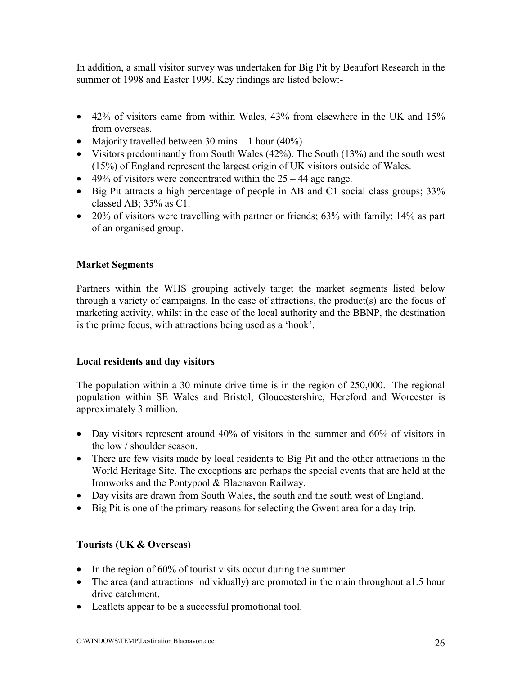In addition, a small visitor survey was undertaken for Big Pit by Beaufort Research in the summer of 1998 and Easter 1999. Key findings are listed below:-

- 42% of visitors came from within Wales, 43% from elsewhere in the UK and 15% from overseas.
- Majority travelled between 30 mins  $-1$  hour (40%)
- Visitors predominantly from South Wales (42%). The South (13%) and the south west (15%) of England represent the largest origin of UK visitors outside of Wales.
- $\bullet$  49% of visitors were concentrated within the 25 44 age range.
- Big Pit attracts a high percentage of people in AB and C1 social class groups; 33% classed AB; 35% as C1.
- 20% of visitors were travelling with partner or friends; 63% with family; 14% as part of an organised group.

### **Market Segments**

Partners within the WHS grouping actively target the market segments listed below through a variety of campaigns. In the case of attractions, the product(s) are the focus of marketing activity, whilst in the case of the local authority and the BBNP, the destination is the prime focus, with attractions being used as a 'hook'.

### **Local residents and day visitors**

The population within a 30 minute drive time is in the region of 250,000. The regional population within SE Wales and Bristol, Gloucestershire, Hereford and Worcester is approximately 3 million.

- Day visitors represent around 40% of visitors in the summer and 60% of visitors in the low / shoulder season.
- There are few visits made by local residents to Big Pit and the other attractions in the World Heritage Site. The exceptions are perhaps the special events that are held at the Ironworks and the Pontypool & Blaenavon Railway.
- Day visits are drawn from South Wales, the south and the south west of England.
- Big Pit is one of the primary reasons for selecting the Gwent area for a day trip.

### **Tourists (UK & Overseas)**

- In the region of 60% of tourist visits occur during the summer.
- The area (and attractions individually) are promoted in the main throughout a1.5 hour drive catchment.
- Leaflets appear to be a successful promotional tool.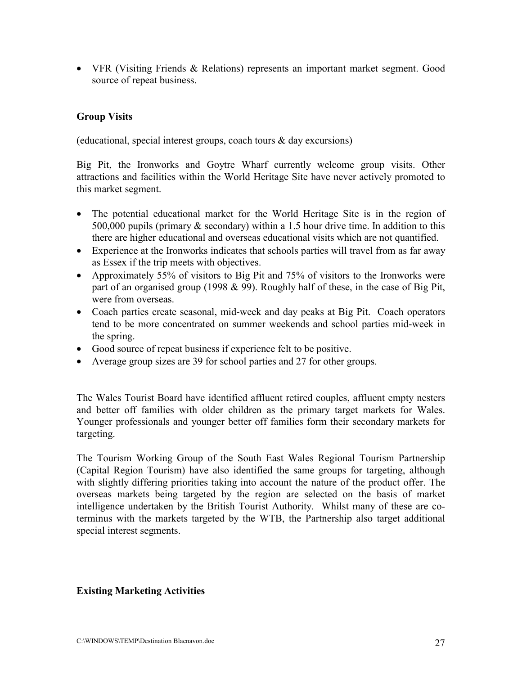• VFR (Visiting Friends & Relations) represents an important market segment. Good source of repeat business.

### **Group Visits**

(educational, special interest groups, coach tours & day excursions)

Big Pit, the Ironworks and Goytre Wharf currently welcome group visits. Other attractions and facilities within the World Heritage Site have never actively promoted to this market segment.

- The potential educational market for the World Heritage Site is in the region of 500,000 pupils (primary  $\&$  secondary) within a 1.5 hour drive time. In addition to this there are higher educational and overseas educational visits which are not quantified.
- Experience at the Ironworks indicates that schools parties will travel from as far away as Essex if the trip meets with objectives.
- Approximately 55% of visitors to Big Pit and 75% of visitors to the Ironworks were part of an organised group (1998 & 99). Roughly half of these, in the case of Big Pit, were from overseas.
- Coach parties create seasonal, mid-week and day peaks at Big Pit. Coach operators tend to be more concentrated on summer weekends and school parties mid-week in the spring.
- Good source of repeat business if experience felt to be positive.
- Average group sizes are 39 for school parties and 27 for other groups.

The Wales Tourist Board have identified affluent retired couples, affluent empty nesters and better off families with older children as the primary target markets for Wales. Younger professionals and younger better off families form their secondary markets for targeting.

The Tourism Working Group of the South East Wales Regional Tourism Partnership (Capital Region Tourism) have also identified the same groups for targeting, although with slightly differing priorities taking into account the nature of the product offer. The overseas markets being targeted by the region are selected on the basis of market intelligence undertaken by the British Tourist Authority. Whilst many of these are coterminus with the markets targeted by the WTB, the Partnership also target additional special interest segments.

### **Existing Marketing Activities**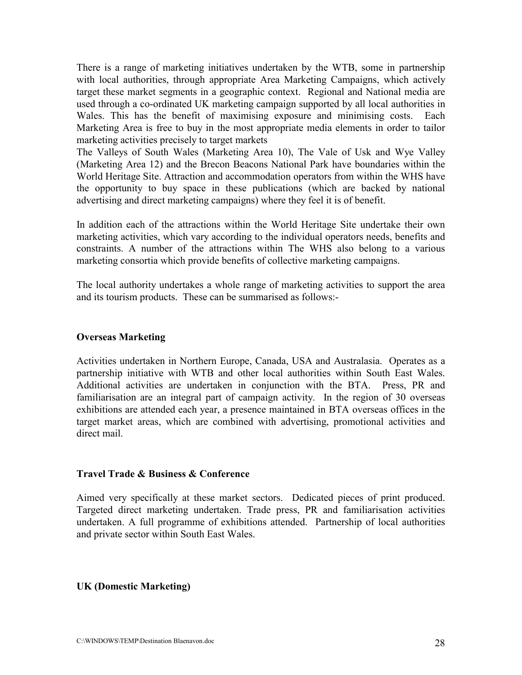There is a range of marketing initiatives undertaken by the WTB, some in partnership with local authorities, through appropriate Area Marketing Campaigns, which actively target these market segments in a geographic context. Regional and National media are used through a co-ordinated UK marketing campaign supported by all local authorities in Wales. This has the benefit of maximising exposure and minimising costs. Each Marketing Area is free to buy in the most appropriate media elements in order to tailor marketing activities precisely to target markets

The Valleys of South Wales (Marketing Area 10), The Vale of Usk and Wye Valley (Marketing Area 12) and the Brecon Beacons National Park have boundaries within the World Heritage Site. Attraction and accommodation operators from within the WHS have the opportunity to buy space in these publications (which are backed by national advertising and direct marketing campaigns) where they feel it is of benefit.

In addition each of the attractions within the World Heritage Site undertake their own marketing activities, which vary according to the individual operators needs, benefits and constraints. A number of the attractions within The WHS also belong to a various marketing consortia which provide benefits of collective marketing campaigns.

The local authority undertakes a whole range of marketing activities to support the area and its tourism products. These can be summarised as follows:-

### **Overseas Marketing**

Activities undertaken in Northern Europe, Canada, USA and Australasia. Operates as a partnership initiative with WTB and other local authorities within South East Wales. Additional activities are undertaken in conjunction with the BTA. Press, PR and familiarisation are an integral part of campaign activity. In the region of 30 overseas exhibitions are attended each year, a presence maintained in BTA overseas offices in the target market areas, which are combined with advertising, promotional activities and direct mail.

#### **Travel Trade & Business & Conference**

Aimed very specifically at these market sectors. Dedicated pieces of print produced. Targeted direct marketing undertaken. Trade press, PR and familiarisation activities undertaken. A full programme of exhibitions attended. Partnership of local authorities and private sector within South East Wales.

### **UK (Domestic Marketing)**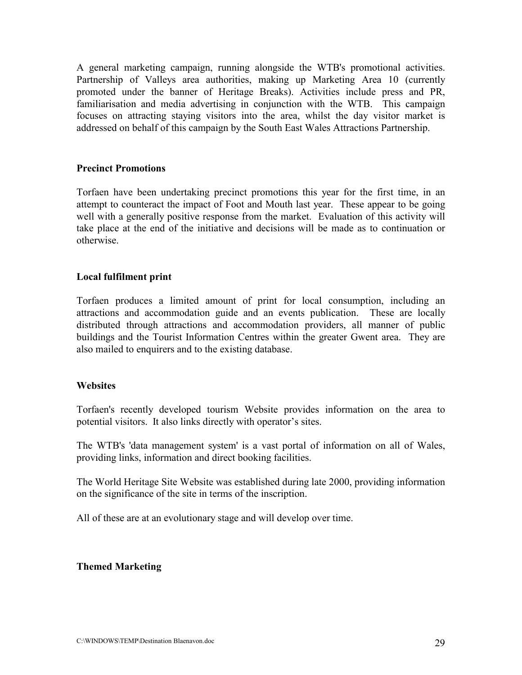A general marketing campaign, running alongside the WTB's promotional activities. Partnership of Valleys area authorities, making up Marketing Area 10 (currently promoted under the banner of Heritage Breaks). Activities include press and PR, familiarisation and media advertising in conjunction with the WTB. This campaign focuses on attracting staying visitors into the area, whilst the day visitor market is addressed on behalf of this campaign by the South East Wales Attractions Partnership.

#### **Precinct Promotions**

Torfaen have been undertaking precinct promotions this year for the first time, in an attempt to counteract the impact of Foot and Mouth last year. These appear to be going well with a generally positive response from the market. Evaluation of this activity will take place at the end of the initiative and decisions will be made as to continuation or otherwise.

#### **Local fulfilment print**

Torfaen produces a limited amount of print for local consumption, including an attractions and accommodation guide and an events publication. These are locally distributed through attractions and accommodation providers, all manner of public buildings and the Tourist Information Centres within the greater Gwent area. They are also mailed to enquirers and to the existing database.

#### **Websites**

Torfaen's recently developed tourism Website provides information on the area to potential visitors. It also links directly with operator's sites.

The WTB's 'data management system' is a vast portal of information on all of Wales, providing links, information and direct booking facilities.

The World Heritage Site Website was established during late 2000, providing information on the significance of the site in terms of the inscription.

All of these are at an evolutionary stage and will develop over time.

#### **Themed Marketing**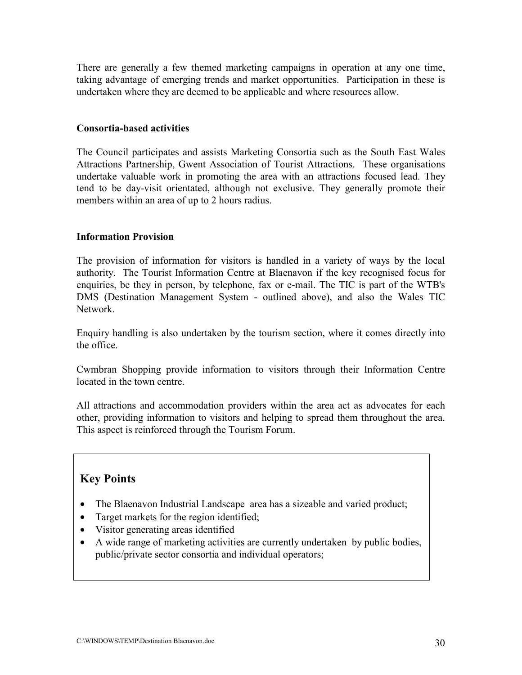There are generally a few themed marketing campaigns in operation at any one time, taking advantage of emerging trends and market opportunities. Participation in these is undertaken where they are deemed to be applicable and where resources allow.

#### **Consortia-based activities**

The Council participates and assists Marketing Consortia such as the South East Wales Attractions Partnership, Gwent Association of Tourist Attractions. These organisations undertake valuable work in promoting the area with an attractions focused lead. They tend to be day-visit orientated, although not exclusive. They generally promote their members within an area of up to 2 hours radius.

### **Information Provision**

The provision of information for visitors is handled in a variety of ways by the local authority. The Tourist Information Centre at Blaenavon if the key recognised focus for enquiries, be they in person, by telephone, fax or e-mail. The TIC is part of the WTB's DMS (Destination Management System - outlined above), and also the Wales TIC Network.

Enquiry handling is also undertaken by the tourism section, where it comes directly into the office.

Cwmbran Shopping provide information to visitors through their Information Centre located in the town centre.

All attractions and accommodation providers within the area act as advocates for each other, providing information to visitors and helping to spread them throughout the area. This aspect is reinforced through the Tourism Forum.

### **Key Points**

- The Blaenavon Industrial Landscape area has a sizeable and varied product;
- Target markets for the region identified;
- Visitor generating areas identified
- A wide range of marketing activities are currently undertaken by public bodies, public/private sector consortia and individual operators;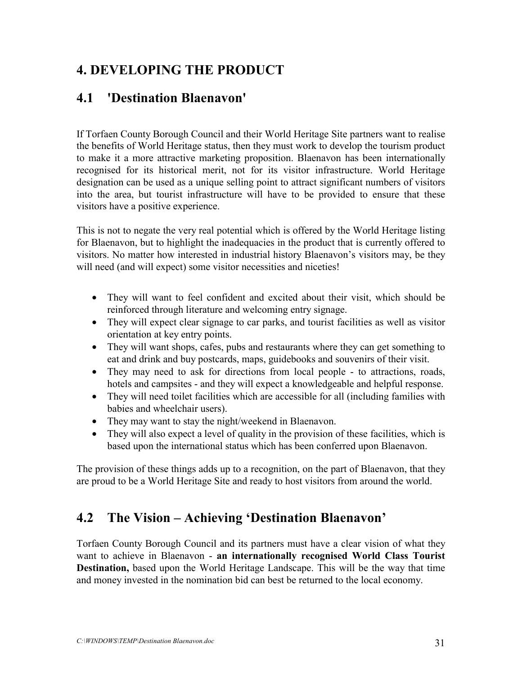### **4. DEVELOPING THE PRODUCT**

### **4.1 'Destination Blaenavon'**

If Torfaen County Borough Council and their World Heritage Site partners want to realise the benefits of World Heritage status, then they must work to develop the tourism product to make it a more attractive marketing proposition. Blaenavon has been internationally recognised for its historical merit, not for its visitor infrastructure. World Heritage designation can be used as a unique selling point to attract significant numbers of visitors into the area, but tourist infrastructure will have to be provided to ensure that these visitors have a positive experience.

This is not to negate the very real potential which is offered by the World Heritage listing for Blaenavon, but to highlight the inadequacies in the product that is currently offered to visitors. No matter how interested in industrial history Blaenavon's visitors may, be they will need (and will expect) some visitor necessities and niceties!

- They will want to feel confident and excited about their visit, which should be reinforced through literature and welcoming entry signage.
- They will expect clear signage to car parks, and tourist facilities as well as visitor orientation at key entry points.
- They will want shops, cafes, pubs and restaurants where they can get something to eat and drink and buy postcards, maps, guidebooks and souvenirs of their visit.
- They may need to ask for directions from local people to attractions, roads, hotels and campsites - and they will expect a knowledgeable and helpful response.
- They will need toilet facilities which are accessible for all (including families with babies and wheelchair users).
- They may want to stay the night/weekend in Blaenavon.
- They will also expect a level of quality in the provision of these facilities, which is based upon the international status which has been conferred upon Blaenavon.

The provision of these things adds up to a recognition, on the part of Blaenavon, that they are proud to be a World Heritage Site and ready to host visitors from around the world.

### **4.2 The Vision – Achieving 'Destination Blaenavon'**

Torfaen County Borough Council and its partners must have a clear vision of what they want to achieve in Blaenavon - **an internationally recognised World Class Tourist Destination,** based upon the World Heritage Landscape. This will be the way that time and money invested in the nomination bid can best be returned to the local economy.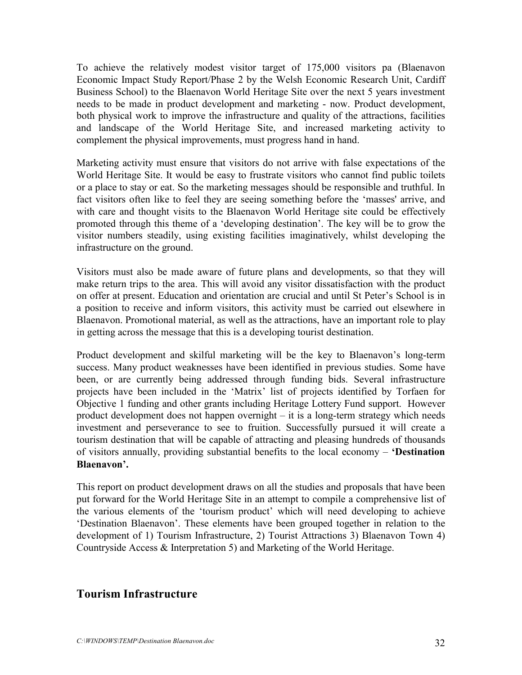To achieve the relatively modest visitor target of 175,000 visitors pa (Blaenavon Economic Impact Study Report/Phase 2 by the Welsh Economic Research Unit, Cardiff Business School) to the Blaenavon World Heritage Site over the next 5 years investment needs to be made in product development and marketing - now. Product development, both physical work to improve the infrastructure and quality of the attractions, facilities and landscape of the World Heritage Site, and increased marketing activity to complement the physical improvements, must progress hand in hand.

Marketing activity must ensure that visitors do not arrive with false expectations of the World Heritage Site. It would be easy to frustrate visitors who cannot find public toilets or a place to stay or eat. So the marketing messages should be responsible and truthful. In fact visitors often like to feel they are seeing something before the 'masses' arrive, and with care and thought visits to the Blaenavon World Heritage site could be effectively promoted through this theme of a 'developing destination'. The key will be to grow the visitor numbers steadily, using existing facilities imaginatively, whilst developing the infrastructure on the ground.

Visitors must also be made aware of future plans and developments, so that they will make return trips to the area. This will avoid any visitor dissatisfaction with the product on offer at present. Education and orientation are crucial and until St Peter's School is in a position to receive and inform visitors, this activity must be carried out elsewhere in Blaenavon. Promotional material, as well as the attractions, have an important role to play in getting across the message that this is a developing tourist destination.

Product development and skilful marketing will be the key to Blaenavon's long-term success. Many product weaknesses have been identified in previous studies. Some have been, or are currently being addressed through funding bids. Several infrastructure projects have been included in the 'Matrix' list of projects identified by Torfaen for Objective 1 funding and other grants including Heritage Lottery Fund support. However product development does not happen overnight – it is a long-term strategy which needs investment and perseverance to see to fruition. Successfully pursued it will create a tourism destination that will be capable of attracting and pleasing hundreds of thousands of visitors annually, providing substantial benefits to the local economy – **'Destination Blaenavon'.**

This report on product development draws on all the studies and proposals that have been put forward for the World Heritage Site in an attempt to compile a comprehensive list of the various elements of the 'tourism product' which will need developing to achieve 'Destination Blaenavon'. These elements have been grouped together in relation to the development of 1) Tourism Infrastructure, 2) Tourist Attractions 3) Blaenavon Town 4) Countryside Access & Interpretation 5) and Marketing of the World Heritage.

### **Tourism Infrastructure**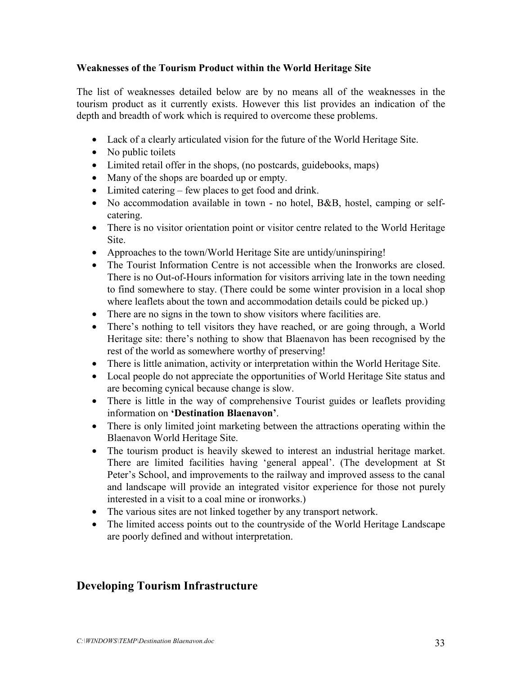### **Weaknesses of the Tourism Product within the World Heritage Site**

The list of weaknesses detailed below are by no means all of the weaknesses in the tourism product as it currently exists. However this list provides an indication of the depth and breadth of work which is required to overcome these problems.

- Lack of a clearly articulated vision for the future of the World Heritage Site.
- No public toilets
- Limited retail offer in the shops, (no postcards, guidebooks, maps)
- Many of the shops are boarded up or empty.
- Limited catering few places to get food and drink.
- No accommodation available in town no hotel, B&B, hostel, camping or selfcatering.
- There is no visitor orientation point or visitor centre related to the World Heritage Site.
- Approaches to the town/World Heritage Site are untidy/uninspiring!
- The Tourist Information Centre is not accessible when the Ironworks are closed. There is no Out-of-Hours information for visitors arriving late in the town needing to find somewhere to stay. (There could be some winter provision in a local shop where leaflets about the town and accommodation details could be picked up.)
- There are no signs in the town to show visitors where facilities are.
- There's nothing to tell visitors they have reached, or are going through, a World Heritage site: there's nothing to show that Blaenavon has been recognised by the rest of the world as somewhere worthy of preserving!
- There is little animation, activity or interpretation within the World Heritage Site.
- Local people do not appreciate the opportunities of World Heritage Site status and are becoming cynical because change is slow.
- There is little in the way of comprehensive Tourist guides or leaflets providing information on **'Destination Blaenavon'**.
- There is only limited joint marketing between the attractions operating within the Blaenavon World Heritage Site.
- The tourism product is heavily skewed to interest an industrial heritage market. There are limited facilities having 'general appeal'. (The development at St Peter's School, and improvements to the railway and improved assess to the canal and landscape will provide an integrated visitor experience for those not purely interested in a visit to a coal mine or ironworks.)
- The various sites are not linked together by any transport network.
- The limited access points out to the countryside of the World Heritage Landscape are poorly defined and without interpretation.

### **Developing Tourism Infrastructure**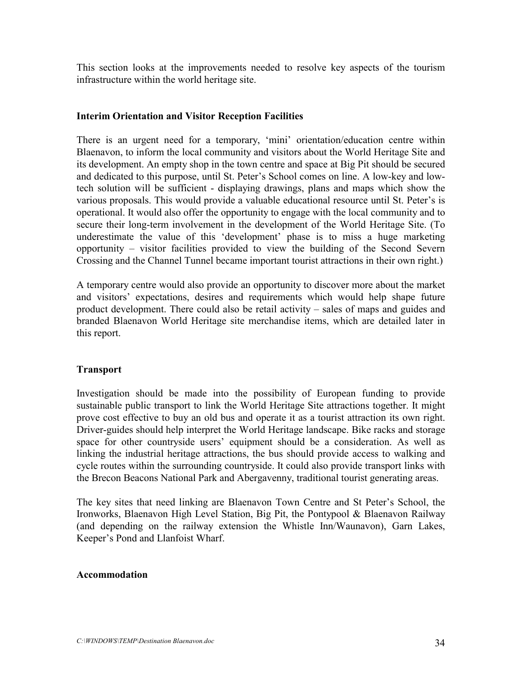This section looks at the improvements needed to resolve key aspects of the tourism infrastructure within the world heritage site.

### **Interim Orientation and Visitor Reception Facilities**

There is an urgent need for a temporary, 'mini' orientation/education centre within Blaenavon, to inform the local community and visitors about the World Heritage Site and its development. An empty shop in the town centre and space at Big Pit should be secured and dedicated to this purpose, until St. Peter's School comes on line. A low-key and lowtech solution will be sufficient - displaying drawings, plans and maps which show the various proposals. This would provide a valuable educational resource until St. Peter's is operational. It would also offer the opportunity to engage with the local community and to secure their long-term involvement in the development of the World Heritage Site. (To underestimate the value of this 'development' phase is to miss a huge marketing opportunity – visitor facilities provided to view the building of the Second Severn Crossing and the Channel Tunnel became important tourist attractions in their own right.)

A temporary centre would also provide an opportunity to discover more about the market and visitors' expectations, desires and requirements which would help shape future product development. There could also be retail activity – sales of maps and guides and branded Blaenavon World Heritage site merchandise items, which are detailed later in this report.

#### **Transport**

Investigation should be made into the possibility of European funding to provide sustainable public transport to link the World Heritage Site attractions together. It might prove cost effective to buy an old bus and operate it as a tourist attraction its own right. Driver-guides should help interpret the World Heritage landscape. Bike racks and storage space for other countryside users' equipment should be a consideration. As well as linking the industrial heritage attractions, the bus should provide access to walking and cycle routes within the surrounding countryside. It could also provide transport links with the Brecon Beacons National Park and Abergavenny, traditional tourist generating areas.

The key sites that need linking are Blaenavon Town Centre and St Peter's School, the Ironworks, Blaenavon High Level Station, Big Pit, the Pontypool & Blaenavon Railway (and depending on the railway extension the Whistle Inn/Waunavon), Garn Lakes, Keeper's Pond and Llanfoist Wharf.

#### **Accommodation**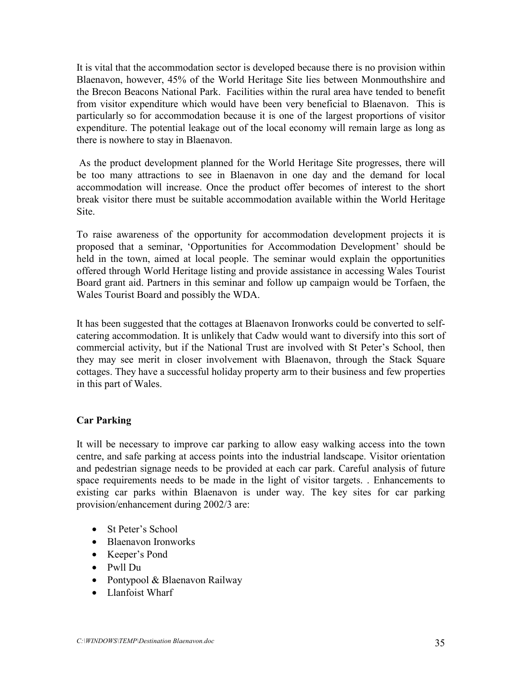It is vital that the accommodation sector is developed because there is no provision within Blaenavon, however, 45% of the World Heritage Site lies between Monmouthshire and the Brecon Beacons National Park. Facilities within the rural area have tended to benefit from visitor expenditure which would have been very beneficial to Blaenavon. This is particularly so for accommodation because it is one of the largest proportions of visitor expenditure. The potential leakage out of the local economy will remain large as long as there is nowhere to stay in Blaenavon.

 As the product development planned for the World Heritage Site progresses, there will be too many attractions to see in Blaenavon in one day and the demand for local accommodation will increase. Once the product offer becomes of interest to the short break visitor there must be suitable accommodation available within the World Heritage **Site** 

To raise awareness of the opportunity for accommodation development projects it is proposed that a seminar, 'Opportunities for Accommodation Development' should be held in the town, aimed at local people. The seminar would explain the opportunities offered through World Heritage listing and provide assistance in accessing Wales Tourist Board grant aid. Partners in this seminar and follow up campaign would be Torfaen, the Wales Tourist Board and possibly the WDA.

It has been suggested that the cottages at Blaenavon Ironworks could be converted to selfcatering accommodation. It is unlikely that Cadw would want to diversify into this sort of commercial activity, but if the National Trust are involved with St Peter's School, then they may see merit in closer involvement with Blaenavon, through the Stack Square cottages. They have a successful holiday property arm to their business and few properties in this part of Wales.

### **Car Parking**

It will be necessary to improve car parking to allow easy walking access into the town centre, and safe parking at access points into the industrial landscape. Visitor orientation and pedestrian signage needs to be provided at each car park. Careful analysis of future space requirements needs to be made in the light of visitor targets. . Enhancements to existing car parks within Blaenavon is under way. The key sites for car parking provision/enhancement during 2002/3 are:

- St Peter's School
- Blaenavon Ironworks
- Keeper's Pond
- Pwll Du
- Pontypool & Blaenavon Railway
- Llanfoist Wharf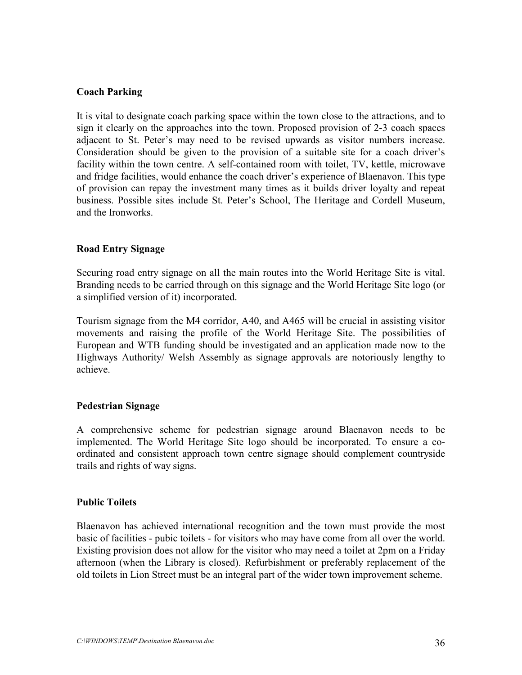### **Coach Parking**

It is vital to designate coach parking space within the town close to the attractions, and to sign it clearly on the approaches into the town. Proposed provision of 2-3 coach spaces adjacent to St. Peter's may need to be revised upwards as visitor numbers increase. Consideration should be given to the provision of a suitable site for a coach driver's facility within the town centre. A self-contained room with toilet, TV, kettle, microwave and fridge facilities, would enhance the coach driver's experience of Blaenavon. This type of provision can repay the investment many times as it builds driver loyalty and repeat business. Possible sites include St. Peter's School, The Heritage and Cordell Museum, and the Ironworks.

### **Road Entry Signage**

Securing road entry signage on all the main routes into the World Heritage Site is vital. Branding needs to be carried through on this signage and the World Heritage Site logo (or a simplified version of it) incorporated.

Tourism signage from the M4 corridor, A40, and A465 will be crucial in assisting visitor movements and raising the profile of the World Heritage Site. The possibilities of European and WTB funding should be investigated and an application made now to the Highways Authority/ Welsh Assembly as signage approvals are notoriously lengthy to achieve.

### **Pedestrian Signage**

A comprehensive scheme for pedestrian signage around Blaenavon needs to be implemented. The World Heritage Site logo should be incorporated. To ensure a coordinated and consistent approach town centre signage should complement countryside trails and rights of way signs.

#### **Public Toilets**

Blaenavon has achieved international recognition and the town must provide the most basic of facilities - pubic toilets - for visitors who may have come from all over the world. Existing provision does not allow for the visitor who may need a toilet at 2pm on a Friday afternoon (when the Library is closed). Refurbishment or preferably replacement of the old toilets in Lion Street must be an integral part of the wider town improvement scheme.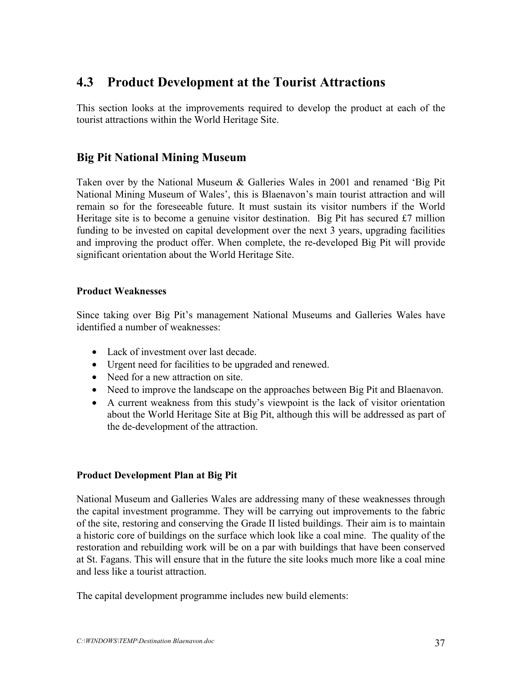### **4.3 Product Development at the Tourist Attractions**

This section looks at the improvements required to develop the product at each of the tourist attractions within the World Heritage Site.

### **Big Pit National Mining Museum**

Taken over by the National Museum & Galleries Wales in 2001 and renamed 'Big Pit National Mining Museum of Wales', this is Blaenavon's main tourist attraction and will remain so for the foreseeable future. It must sustain its visitor numbers if the World Heritage site is to become a genuine visitor destination. Big Pit has secured £7 million funding to be invested on capital development over the next 3 years, upgrading facilities and improving the product offer. When complete, the re-developed Big Pit will provide significant orientation about the World Heritage Site.

### **Product Weaknesses**

Since taking over Big Pit's management National Museums and Galleries Wales have identified a number of weaknesses:

- Lack of investment over last decade.
- Urgent need for facilities to be upgraded and renewed.
- Need for a new attraction on site.
- Need to improve the landscape on the approaches between Big Pit and Blaenavon.
- A current weakness from this study's viewpoint is the lack of visitor orientation about the World Heritage Site at Big Pit, although this will be addressed as part of the de-development of the attraction.

### **Product Development Plan at Big Pit**

National Museum and Galleries Wales are addressing many of these weaknesses through the capital investment programme. They will be carrying out improvements to the fabric of the site, restoring and conserving the Grade II listed buildings. Their aim is to maintain a historic core of buildings on the surface which look like a coal mine. The quality of the restoration and rebuilding work will be on a par with buildings that have been conserved at St. Fagans. This will ensure that in the future the site looks much more like a coal mine and less like a tourist attraction.

The capital development programme includes new build elements: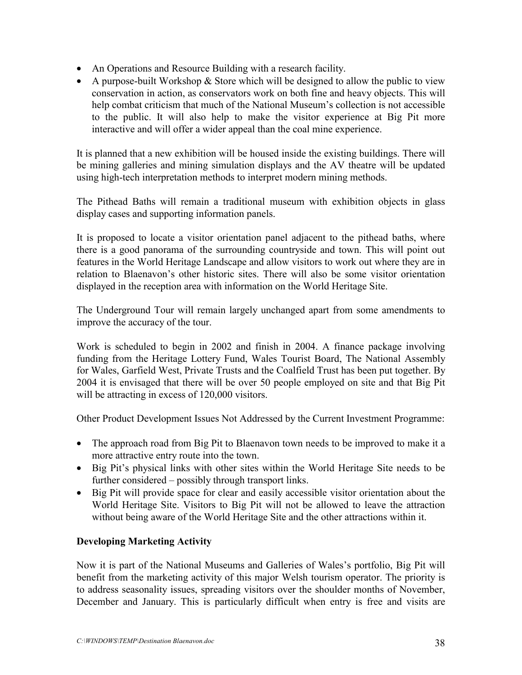- An Operations and Resource Building with a research facility.
- A purpose-built Workshop  $&$  Store which will be designed to allow the public to view conservation in action, as conservators work on both fine and heavy objects. This will help combat criticism that much of the National Museum's collection is not accessible to the public. It will also help to make the visitor experience at Big Pit more interactive and will offer a wider appeal than the coal mine experience.

It is planned that a new exhibition will be housed inside the existing buildings. There will be mining galleries and mining simulation displays and the AV theatre will be updated using high-tech interpretation methods to interpret modern mining methods.

The Pithead Baths will remain a traditional museum with exhibition objects in glass display cases and supporting information panels.

It is proposed to locate a visitor orientation panel adjacent to the pithead baths, where there is a good panorama of the surrounding countryside and town. This will point out features in the World Heritage Landscape and allow visitors to work out where they are in relation to Blaenavon's other historic sites. There will also be some visitor orientation displayed in the reception area with information on the World Heritage Site.

The Underground Tour will remain largely unchanged apart from some amendments to improve the accuracy of the tour.

Work is scheduled to begin in 2002 and finish in 2004. A finance package involving funding from the Heritage Lottery Fund, Wales Tourist Board, The National Assembly for Wales, Garfield West, Private Trusts and the Coalfield Trust has been put together. By 2004 it is envisaged that there will be over 50 people employed on site and that Big Pit will be attracting in excess of 120,000 visitors.

Other Product Development Issues Not Addressed by the Current Investment Programme:

- The approach road from Big Pit to Blaenavon town needs to be improved to make it a more attractive entry route into the town.
- Big Pit's physical links with other sites within the World Heritage Site needs to be further considered – possibly through transport links.
- Big Pit will provide space for clear and easily accessible visitor orientation about the World Heritage Site. Visitors to Big Pit will not be allowed to leave the attraction without being aware of the World Heritage Site and the other attractions within it.

### **Developing Marketing Activity**

Now it is part of the National Museums and Galleries of Wales's portfolio, Big Pit will benefit from the marketing activity of this major Welsh tourism operator. The priority is to address seasonality issues, spreading visitors over the shoulder months of November, December and January. This is particularly difficult when entry is free and visits are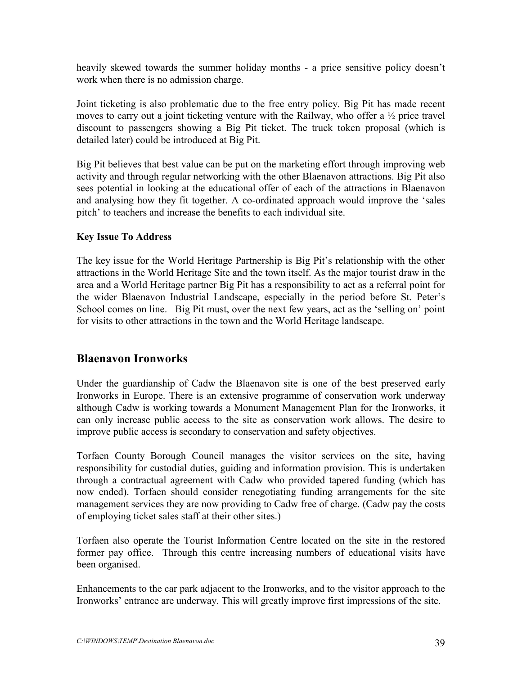heavily skewed towards the summer holiday months - a price sensitive policy doesn't work when there is no admission charge.

Joint ticketing is also problematic due to the free entry policy. Big Pit has made recent moves to carry out a joint ticketing venture with the Railway, who offer a ½ price travel discount to passengers showing a Big Pit ticket. The truck token proposal (which is detailed later) could be introduced at Big Pit.

Big Pit believes that best value can be put on the marketing effort through improving web activity and through regular networking with the other Blaenavon attractions. Big Pit also sees potential in looking at the educational offer of each of the attractions in Blaenavon and analysing how they fit together. A co-ordinated approach would improve the 'sales pitch' to teachers and increase the benefits to each individual site.

### **Key Issue To Address**

The key issue for the World Heritage Partnership is Big Pit's relationship with the other attractions in the World Heritage Site and the town itself. As the major tourist draw in the area and a World Heritage partner Big Pit has a responsibility to act as a referral point for the wider Blaenavon Industrial Landscape, especially in the period before St. Peter's School comes on line. Big Pit must, over the next few years, act as the 'selling on' point for visits to other attractions in the town and the World Heritage landscape.

### **Blaenavon Ironworks**

Under the guardianship of Cadw the Blaenavon site is one of the best preserved early Ironworks in Europe. There is an extensive programme of conservation work underway although Cadw is working towards a Monument Management Plan for the Ironworks, it can only increase public access to the site as conservation work allows. The desire to improve public access is secondary to conservation and safety objectives.

Torfaen County Borough Council manages the visitor services on the site, having responsibility for custodial duties, guiding and information provision. This is undertaken through a contractual agreement with Cadw who provided tapered funding (which has now ended). Torfaen should consider renegotiating funding arrangements for the site management services they are now providing to Cadw free of charge. (Cadw pay the costs of employing ticket sales staff at their other sites.)

Torfaen also operate the Tourist Information Centre located on the site in the restored former pay office. Through this centre increasing numbers of educational visits have been organised.

Enhancements to the car park adjacent to the Ironworks, and to the visitor approach to the Ironworks' entrance are underway. This will greatly improve first impressions of the site.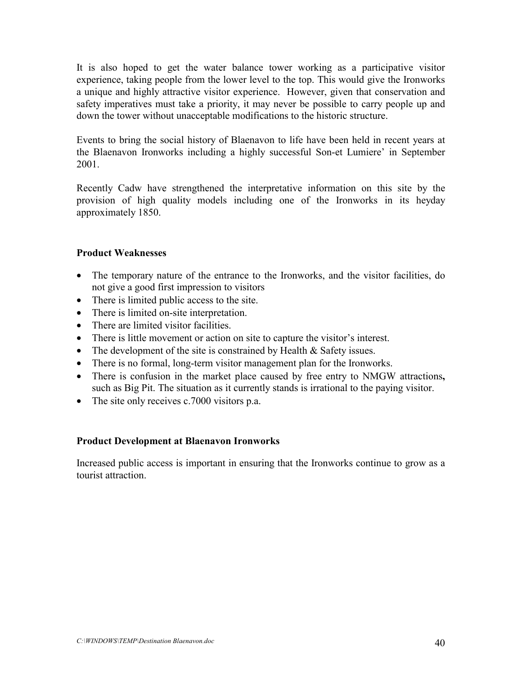It is also hoped to get the water balance tower working as a participative visitor experience, taking people from the lower level to the top. This would give the Ironworks a unique and highly attractive visitor experience. However, given that conservation and safety imperatives must take a priority, it may never be possible to carry people up and down the tower without unacceptable modifications to the historic structure.

Events to bring the social history of Blaenavon to life have been held in recent years at the Blaenavon Ironworks including a highly successful Son-et Lumiere' in September 2001.

Recently Cadw have strengthened the interpretative information on this site by the provision of high quality models including one of the Ironworks in its heyday approximately 1850.

### **Product Weaknesses**

- The temporary nature of the entrance to the Ironworks, and the visitor facilities, do not give a good first impression to visitors
- There is limited public access to the site.
- There is limited on-site interpretation.
- There are limited visitor facilities.
- There is little movement or action on site to capture the visitor's interest.
- The development of the site is constrained by Health  $&$  Safety issues.
- There is no formal, long-term visitor management plan for the Ironworks.
- There is confusion in the market place caused by free entry to NMGW attractions**,** such as Big Pit. The situation as it currently stands is irrational to the paying visitor.
- The site only receives c.7000 visitors p.a.

### **Product Development at Blaenavon Ironworks**

Increased public access is important in ensuring that the Ironworks continue to grow as a tourist attraction.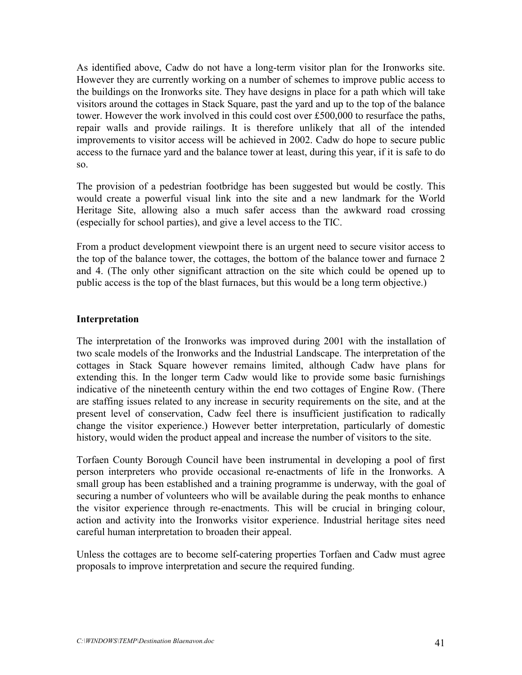As identified above, Cadw do not have a long-term visitor plan for the Ironworks site. However they are currently working on a number of schemes to improve public access to the buildings on the Ironworks site. They have designs in place for a path which will take visitors around the cottages in Stack Square, past the yard and up to the top of the balance tower. However the work involved in this could cost over £500,000 to resurface the paths, repair walls and provide railings. It is therefore unlikely that all of the intended improvements to visitor access will be achieved in 2002. Cadw do hope to secure public access to the furnace yard and the balance tower at least, during this year, if it is safe to do so.

The provision of a pedestrian footbridge has been suggested but would be costly. This would create a powerful visual link into the site and a new landmark for the World Heritage Site, allowing also a much safer access than the awkward road crossing (especially for school parties), and give a level access to the TIC.

From a product development viewpoint there is an urgent need to secure visitor access to the top of the balance tower, the cottages, the bottom of the balance tower and furnace 2 and 4. (The only other significant attraction on the site which could be opened up to public access is the top of the blast furnaces, but this would be a long term objective.)

### **Interpretation**

The interpretation of the Ironworks was improved during 2001 with the installation of two scale models of the Ironworks and the Industrial Landscape. The interpretation of the cottages in Stack Square however remains limited, although Cadw have plans for extending this. In the longer term Cadw would like to provide some basic furnishings indicative of the nineteenth century within the end two cottages of Engine Row. (There are staffing issues related to any increase in security requirements on the site, and at the present level of conservation, Cadw feel there is insufficient justification to radically change the visitor experience.) However better interpretation, particularly of domestic history, would widen the product appeal and increase the number of visitors to the site.

Torfaen County Borough Council have been instrumental in developing a pool of first person interpreters who provide occasional re-enactments of life in the Ironworks. A small group has been established and a training programme is underway, with the goal of securing a number of volunteers who will be available during the peak months to enhance the visitor experience through re-enactments. This will be crucial in bringing colour, action and activity into the Ironworks visitor experience. Industrial heritage sites need careful human interpretation to broaden their appeal.

Unless the cottages are to become self-catering properties Torfaen and Cadw must agree proposals to improve interpretation and secure the required funding.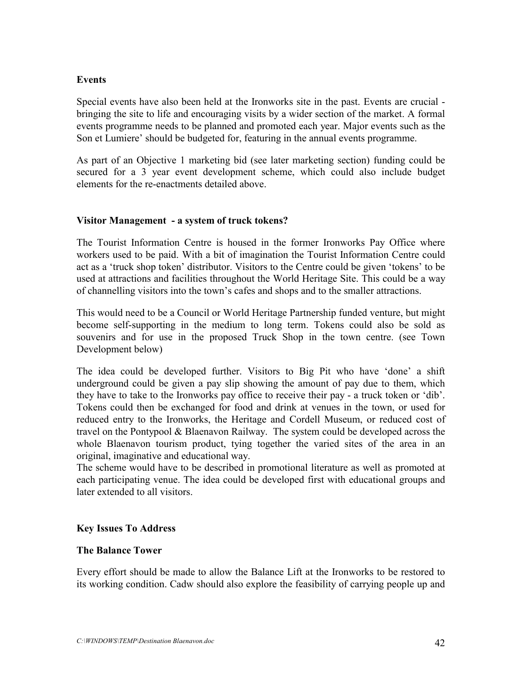### **Events**

Special events have also been held at the Ironworks site in the past. Events are crucial bringing the site to life and encouraging visits by a wider section of the market. A formal events programme needs to be planned and promoted each year. Major events such as the Son et Lumiere' should be budgeted for, featuring in the annual events programme.

As part of an Objective 1 marketing bid (see later marketing section) funding could be secured for a 3 year event development scheme, which could also include budget elements for the re-enactments detailed above.

### **Visitor Management - a system of truck tokens?**

The Tourist Information Centre is housed in the former Ironworks Pay Office where workers used to be paid. With a bit of imagination the Tourist Information Centre could act as a 'truck shop token' distributor. Visitors to the Centre could be given 'tokens' to be used at attractions and facilities throughout the World Heritage Site. This could be a way of channelling visitors into the town's cafes and shops and to the smaller attractions.

This would need to be a Council or World Heritage Partnership funded venture, but might become self-supporting in the medium to long term. Tokens could also be sold as souvenirs and for use in the proposed Truck Shop in the town centre. (see Town Development below)

The idea could be developed further. Visitors to Big Pit who have 'done' a shift underground could be given a pay slip showing the amount of pay due to them, which they have to take to the Ironworks pay office to receive their pay - a truck token or 'dib'. Tokens could then be exchanged for food and drink at venues in the town, or used for reduced entry to the Ironworks, the Heritage and Cordell Museum, or reduced cost of travel on the Pontypool & Blaenavon Railway. The system could be developed across the whole Blaenavon tourism product, tying together the varied sites of the area in an original, imaginative and educational way.

The scheme would have to be described in promotional literature as well as promoted at each participating venue. The idea could be developed first with educational groups and later extended to all visitors.

### **Key Issues To Address**

#### **The Balance Tower**

Every effort should be made to allow the Balance Lift at the Ironworks to be restored to its working condition. Cadw should also explore the feasibility of carrying people up and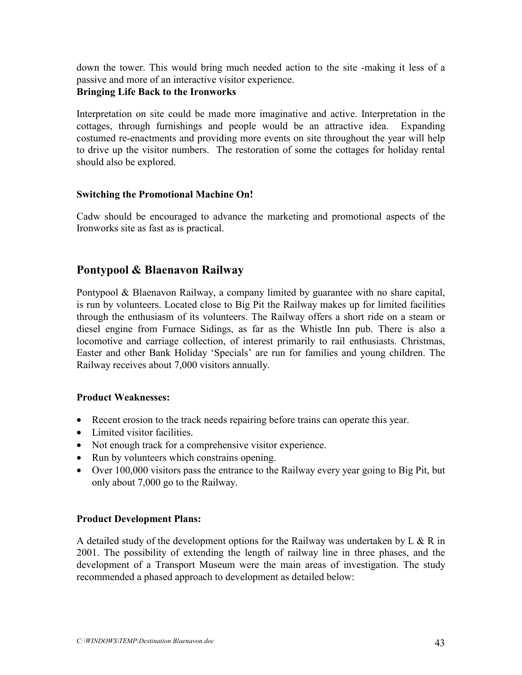down the tower. This would bring much needed action to the site -making it less of a passive and more of an interactive visitor experience. **Bringing Life Back to the Ironworks**

Interpretation on site could be made more imaginative and active. Interpretation in the cottages, through furnishings and people would be an attractive idea. Expanding costumed re-enactments and providing more events on site throughout the year will help to drive up the visitor numbers. The restoration of some the cottages for holiday rental should also be explored.

### **Switching the Promotional Machine On!**

Cadw should be encouraged to advance the marketing and promotional aspects of the Ironworks site as fast as is practical.

### **Pontypool & Blaenavon Railway**

Pontypool & Blaenavon Railway, a company limited by guarantee with no share capital, is run by volunteers. Located close to Big Pit the Railway makes up for limited facilities through the enthusiasm of its volunteers. The Railway offers a short ride on a steam or diesel engine from Furnace Sidings, as far as the Whistle Inn pub. There is also a locomotive and carriage collection, of interest primarily to rail enthusiasts. Christmas, Easter and other Bank Holiday 'Specials' are run for families and young children. The Railway receives about 7,000 visitors annually.

#### **Product Weaknesses:**

- Recent erosion to the track needs repairing before trains can operate this year.
- Limited visitor facilities.
- Not enough track for a comprehensive visitor experience.
- Run by volunteers which constrains opening.
- Over 100,000 visitors pass the entrance to the Railway every year going to Big Pit, but only about 7,000 go to the Railway.

#### **Product Development Plans:**

A detailed study of the development options for the Railway was undertaken by L  $\&$  R in 2001. The possibility of extending the length of railway line in three phases, and the development of a Transport Museum were the main areas of investigation. The study recommended a phased approach to development as detailed below: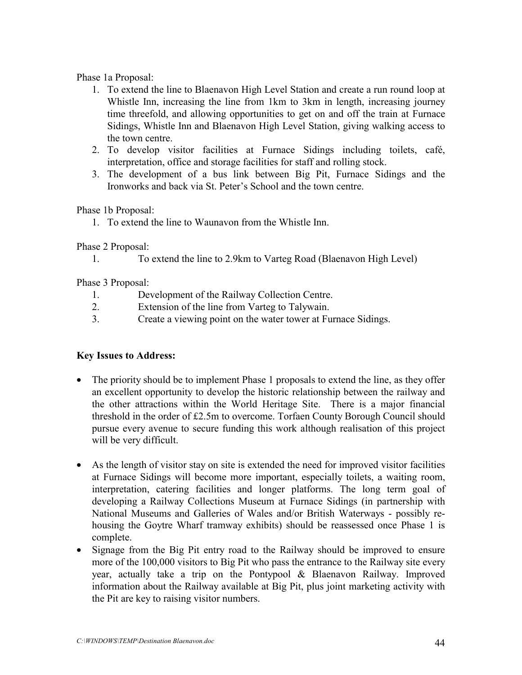Phase 1a Proposal:

- 1. To extend the line to Blaenavon High Level Station and create a run round loop at Whistle Inn, increasing the line from 1km to 3km in length, increasing journey time threefold, and allowing opportunities to get on and off the train at Furnace Sidings, Whistle Inn and Blaenavon High Level Station, giving walking access to the town centre.
- 2. To develop visitor facilities at Furnace Sidings including toilets, café, interpretation, office and storage facilities for staff and rolling stock.
- 3. The development of a bus link between Big Pit, Furnace Sidings and the Ironworks and back via St. Peter's School and the town centre.

Phase 1b Proposal:

1. To extend the line to Waunavon from the Whistle Inn.

Phase 2 Proposal:

1. To extend the line to 2.9km to Varteg Road (Blaenavon High Level)

Phase 3 Proposal:

- 1. Development of the Railway Collection Centre.
- 2. Extension of the line from Varteg to Talywain.
- 3. Create a viewing point on the water tower at Furnace Sidings.

### **Key Issues to Address:**

- The priority should be to implement Phase 1 proposals to extend the line, as they offer an excellent opportunity to develop the historic relationship between the railway and the other attractions within the World Heritage Site. There is a major financial threshold in the order of £2.5m to overcome. Torfaen County Borough Council should pursue every avenue to secure funding this work although realisation of this project will be very difficult.
- As the length of visitor stay on site is extended the need for improved visitor facilities at Furnace Sidings will become more important, especially toilets, a waiting room, interpretation, catering facilities and longer platforms. The long term goal of developing a Railway Collections Museum at Furnace Sidings (in partnership with National Museums and Galleries of Wales and/or British Waterways - possibly rehousing the Goytre Wharf tramway exhibits) should be reassessed once Phase 1 is complete.
- Signage from the Big Pit entry road to the Railway should be improved to ensure more of the 100,000 visitors to Big Pit who pass the entrance to the Railway site every year, actually take a trip on the Pontypool & Blaenavon Railway. Improved information about the Railway available at Big Pit, plus joint marketing activity with the Pit are key to raising visitor numbers.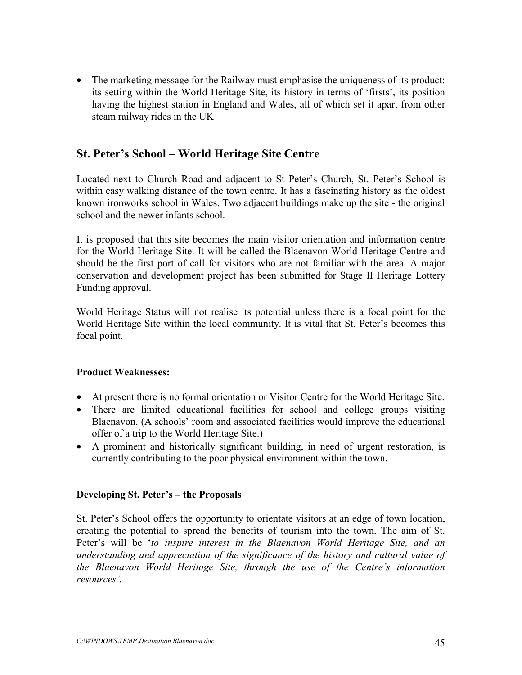• The marketing message for the Railway must emphasise the uniqueness of its product: its setting within the World Heritage Site, its history in terms of 'firsts', its position having the highest station in England and Wales, all of which set it apart from other steam railway rides in the UK

### **St. Peter's School – World Heritage Site Centre**

Located next to Church Road and adjacent to St Peter's Church, St. Peter's School is within easy walking distance of the town centre. It has a fascinating history as the oldest known ironworks school in Wales. Two adjacent buildings make up the site - the original school and the newer infants school.

It is proposed that this site becomes the main visitor orientation and information centre for the World Heritage Site. It will be called the Blaenavon World Heritage Centre and should be the first port of call for visitors who are not familiar with the area. A major conservation and development project has been submitted for Stage II Heritage Lottery Funding approval.

World Heritage Status will not realise its potential unless there is a focal point for the World Heritage Site within the local community. It is vital that St. Peter's becomes this focal point.

### **Product Weaknesses:**

- At present there is no formal orientation or Visitor Centre for the World Heritage Site.
- There are limited educational facilities for school and college groups visiting Blaenavon. (A schools' room and associated facilities would improve the educational offer of a trip to the World Heritage Site.)
- A prominent and historically significant building, in need of urgent restoration, is currently contributing to the poor physical environment within the town.

### **Developing St. Peter's – the Proposals**

St. Peter's School offers the opportunity to orientate visitors at an edge of town location, creating the potential to spread the benefits of tourism into the town. The aim of St. Peter's will be '*to inspire interest in the Blaenavon World Heritage Site, and an understanding and appreciation of the significance of the history and cultural value of the Blaenavon World Heritage Site, through the use of the Centre's information resources'.*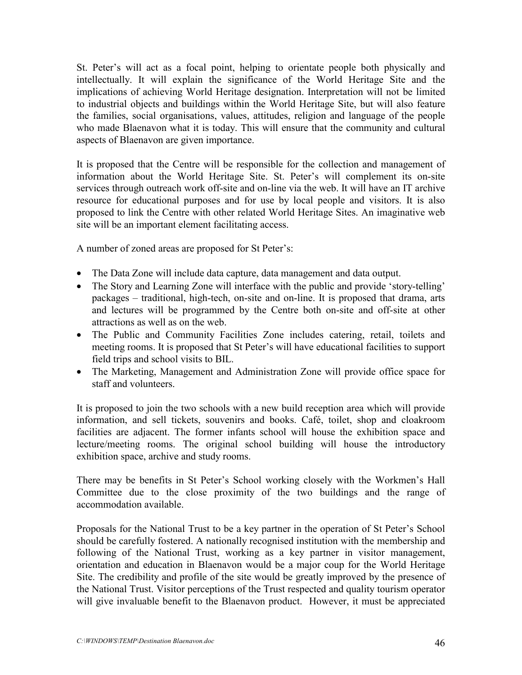St. Peter's will act as a focal point, helping to orientate people both physically and intellectually. It will explain the significance of the World Heritage Site and the implications of achieving World Heritage designation. Interpretation will not be limited to industrial objects and buildings within the World Heritage Site, but will also feature the families, social organisations, values, attitudes, religion and language of the people who made Blaenavon what it is today. This will ensure that the community and cultural aspects of Blaenavon are given importance.

It is proposed that the Centre will be responsible for the collection and management of information about the World Heritage Site. St. Peter's will complement its on-site services through outreach work off-site and on-line via the web. It will have an IT archive resource for educational purposes and for use by local people and visitors. It is also proposed to link the Centre with other related World Heritage Sites. An imaginative web site will be an important element facilitating access.

A number of zoned areas are proposed for St Peter's:

- The Data Zone will include data capture, data management and data output.
- The Story and Learning Zone will interface with the public and provide 'story-telling' packages – traditional, high-tech, on-site and on-line. It is proposed that drama, arts and lectures will be programmed by the Centre both on-site and off-site at other attractions as well as on the web.
- The Public and Community Facilities Zone includes catering, retail, toilets and meeting rooms. It is proposed that St Peter's will have educational facilities to support field trips and school visits to BIL.
- The Marketing, Management and Administration Zone will provide office space for staff and volunteers.

It is proposed to join the two schools with a new build reception area which will provide information, and sell tickets, souvenirs and books. Café, toilet, shop and cloakroom facilities are adjacent. The former infants school will house the exhibition space and lecture/meeting rooms. The original school building will house the introductory exhibition space, archive and study rooms.

There may be benefits in St Peter's School working closely with the Workmen's Hall Committee due to the close proximity of the two buildings and the range of accommodation available.

Proposals for the National Trust to be a key partner in the operation of St Peter's School should be carefully fostered. A nationally recognised institution with the membership and following of the National Trust, working as a key partner in visitor management, orientation and education in Blaenavon would be a major coup for the World Heritage Site. The credibility and profile of the site would be greatly improved by the presence of the National Trust. Visitor perceptions of the Trust respected and quality tourism operator will give invaluable benefit to the Blaenavon product. However, it must be appreciated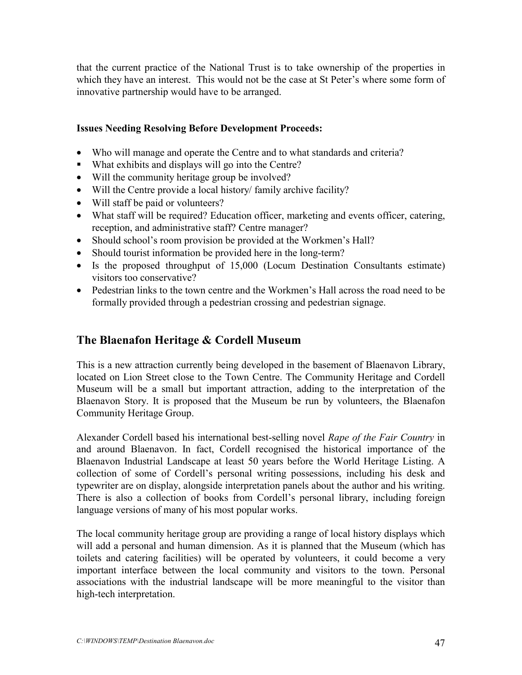that the current practice of the National Trust is to take ownership of the properties in which they have an interest. This would not be the case at St Peter's where some form of innovative partnership would have to be arranged.

### **Issues Needing Resolving Before Development Proceeds:**

- Who will manage and operate the Centre and to what standards and criteria?
- What exhibits and displays will go into the Centre?
- Will the community heritage group be involved?
- Will the Centre provide a local history/ family archive facility?
- Will staff be paid or volunteers?
- What staff will be required? Education officer, marketing and events officer, catering, reception, and administrative staff? Centre manager?
- Should school's room provision be provided at the Workmen's Hall?
- Should tourist information be provided here in the long-term?
- Is the proposed throughput of 15,000 (Locum Destination Consultants estimate) visitors too conservative?
- Pedestrian links to the town centre and the Workmen's Hall across the road need to be formally provided through a pedestrian crossing and pedestrian signage.

### **The Blaenafon Heritage & Cordell Museum**

This is a new attraction currently being developed in the basement of Blaenavon Library, located on Lion Street close to the Town Centre. The Community Heritage and Cordell Museum will be a small but important attraction, adding to the interpretation of the Blaenavon Story. It is proposed that the Museum be run by volunteers, the Blaenafon Community Heritage Group.

Alexander Cordell based his international best-selling novel *Rape of the Fair Country* in and around Blaenavon. In fact, Cordell recognised the historical importance of the Blaenavon Industrial Landscape at least 50 years before the World Heritage Listing. A collection of some of Cordell's personal writing possessions, including his desk and typewriter are on display, alongside interpretation panels about the author and his writing. There is also a collection of books from Cordell's personal library, including foreign language versions of many of his most popular works.

The local community heritage group are providing a range of local history displays which will add a personal and human dimension. As it is planned that the Museum (which has toilets and catering facilities) will be operated by volunteers, it could become a very important interface between the local community and visitors to the town. Personal associations with the industrial landscape will be more meaningful to the visitor than high-tech interpretation.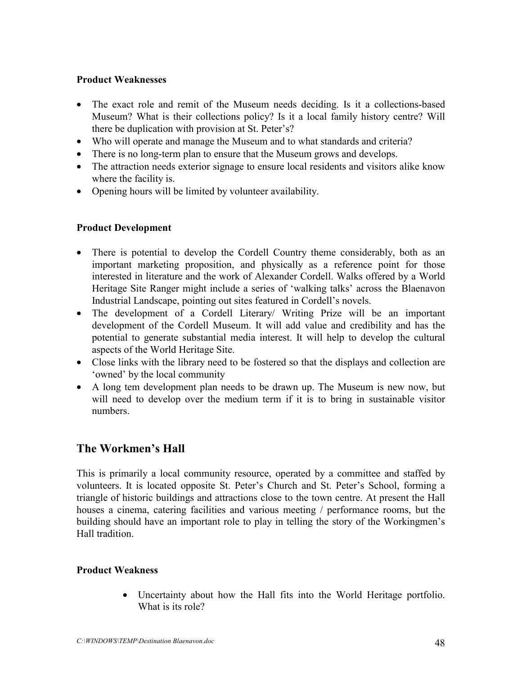### **Product Weaknesses**

- The exact role and remit of the Museum needs deciding. Is it a collections-based Museum? What is their collections policy? Is it a local family history centre? Will there be duplication with provision at St. Peter's?
- Who will operate and manage the Museum and to what standards and criteria?
- There is no long-term plan to ensure that the Museum grows and develops.
- The attraction needs exterior signage to ensure local residents and visitors alike know where the facility is.
- Opening hours will be limited by volunteer availability.

### **Product Development**

- There is potential to develop the Cordell Country theme considerably, both as an important marketing proposition, and physically as a reference point for those interested in literature and the work of Alexander Cordell. Walks offered by a World Heritage Site Ranger might include a series of 'walking talks' across the Blaenavon Industrial Landscape, pointing out sites featured in Cordell's novels.
- The development of a Cordell Literary/ Writing Prize will be an important development of the Cordell Museum. It will add value and credibility and has the potential to generate substantial media interest. It will help to develop the cultural aspects of the World Heritage Site.
- Close links with the library need to be fostered so that the displays and collection are 'owned' by the local community
- A long tem development plan needs to be drawn up. The Museum is new now, but will need to develop over the medium term if it is to bring in sustainable visitor numbers.

### **The Workmen's Hall**

This is primarily a local community resource, operated by a committee and staffed by volunteers. It is located opposite St. Peter's Church and St. Peter's School, forming a triangle of historic buildings and attractions close to the town centre. At present the Hall houses a cinema, catering facilities and various meeting / performance rooms, but the building should have an important role to play in telling the story of the Workingmen's Hall tradition.

### **Product Weakness**

• Uncertainty about how the Hall fits into the World Heritage portfolio. What is its role?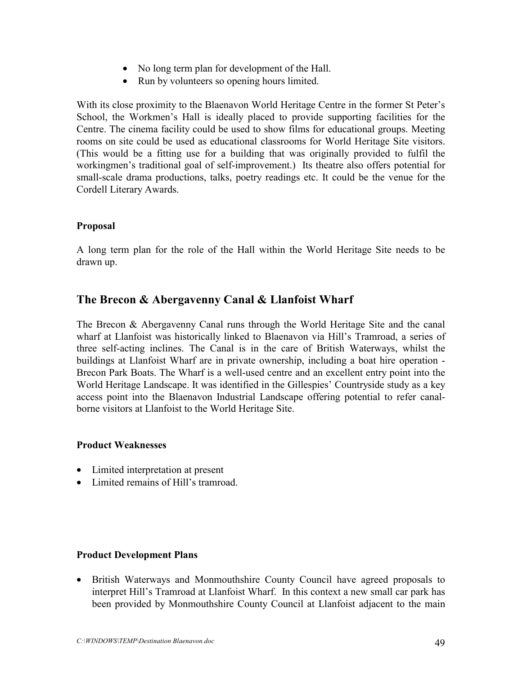- No long term plan for development of the Hall.
- Run by volunteers so opening hours limited.

With its close proximity to the Blaenavon World Heritage Centre in the former St Peter's School, the Workmen's Hall is ideally placed to provide supporting facilities for the Centre. The cinema facility could be used to show films for educational groups. Meeting rooms on site could be used as educational classrooms for World Heritage Site visitors. (This would be a fitting use for a building that was originally provided to fulfil the workingmen's traditional goal of self-improvement.) Its theatre also offers potential for small-scale drama productions, talks, poetry readings etc. It could be the venue for the Cordell Literary Awards.

### **Proposal**

A long term plan for the role of the Hall within the World Heritage Site needs to be drawn up.

### **The Brecon & Abergavenny Canal & Llanfoist Wharf**

The Brecon & Abergavenny Canal runs through the World Heritage Site and the canal wharf at Llanfoist was historically linked to Blaenavon via Hill's Tramroad, a series of three self-acting inclines. The Canal is in the care of British Waterways, whilst the buildings at Llanfoist Wharf are in private ownership, including a boat hire operation - Brecon Park Boats. The Wharf is a well-used centre and an excellent entry point into the World Heritage Landscape. It was identified in the Gillespies' Countryside study as a key access point into the Blaenavon Industrial Landscape offering potential to refer canalborne visitors at Llanfoist to the World Heritage Site.

#### **Product Weaknesses**

- Limited interpretation at present
- Limited remains of Hill's tramroad.

#### **Product Development Plans**

• British Waterways and Monmouthshire County Council have agreed proposals to interpret Hill's Tramroad at Llanfoist Wharf. In this context a new small car park has been provided by Monmouthshire County Council at Llanfoist adjacent to the main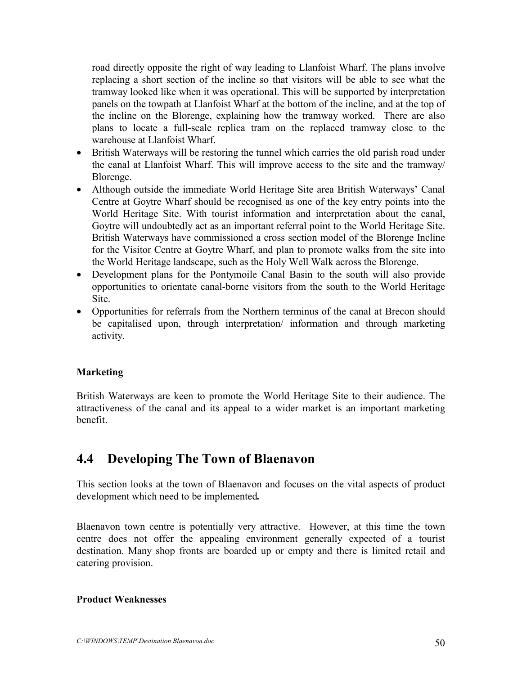road directly opposite the right of way leading to Llanfoist Wharf. The plans involve replacing a short section of the incline so that visitors will be able to see what the tramway looked like when it was operational. This will be supported by interpretation panels on the towpath at Llanfoist Wharf at the bottom of the incline, and at the top of the incline on the Blorenge, explaining how the tramway worked. There are also plans to locate a full-scale replica tram on the replaced tramway close to the warehouse at Llanfoist Wharf.

- British Waterways will be restoring the tunnel which carries the old parish road under the canal at Llanfoist Wharf. This will improve access to the site and the tramway/ Blorenge.
- Although outside the immediate World Heritage Site area British Waterways' Canal Centre at Goytre Wharf should be recognised as one of the key entry points into the World Heritage Site. With tourist information and interpretation about the canal, Goytre will undoubtedly act as an important referral point to the World Heritage Site. British Waterways have commissioned a cross section model of the Blorenge Incline for the Visitor Centre at Goytre Wharf, and plan to promote walks from the site into the World Heritage landscape, such as the Holy Well Walk across the Blorenge.
- Development plans for the Pontymoile Canal Basin to the south will also provide opportunities to orientate canal-borne visitors from the south to the World Heritage Site.
- Opportunities for referrals from the Northern terminus of the canal at Brecon should be capitalised upon, through interpretation/ information and through marketing activity.

### **Marketing**

British Waterways are keen to promote the World Heritage Site to their audience. The attractiveness of the canal and its appeal to a wider market is an important marketing benefit.

### **4.4 Developing The Town of Blaenavon**

This section looks at the town of Blaenavon and focuses on the vital aspects of product development which need to be implemented*.*

Blaenavon town centre is potentially very attractive. However, at this time the town centre does not offer the appealing environment generally expected of a tourist destination. Many shop fronts are boarded up or empty and there is limited retail and catering provision.

### **Product Weaknesses**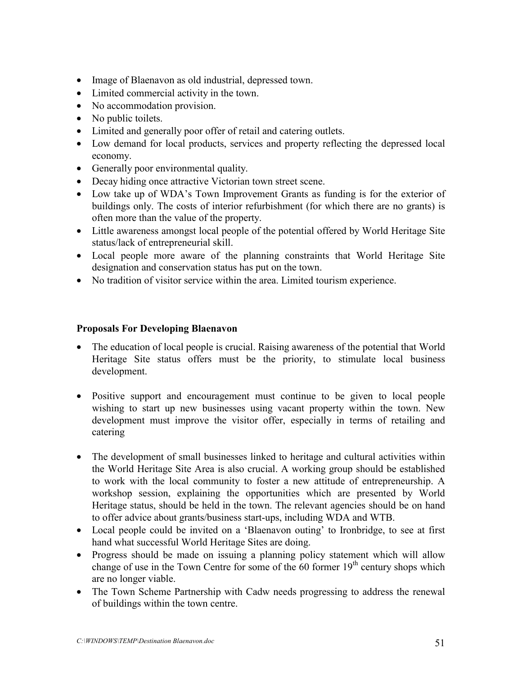- Image of Blaenavon as old industrial, depressed town.
- Limited commercial activity in the town.
- No accommodation provision.
- No public toilets.
- Limited and generally poor offer of retail and catering outlets.
- Low demand for local products, services and property reflecting the depressed local economy.
- Generally poor environmental quality.
- Decay hiding once attractive Victorian town street scene.
- Low take up of WDA's Town Improvement Grants as funding is for the exterior of buildings only. The costs of interior refurbishment (for which there are no grants) is often more than the value of the property.
- Little awareness amongst local people of the potential offered by World Heritage Site status/lack of entrepreneurial skill.
- Local people more aware of the planning constraints that World Heritage Site designation and conservation status has put on the town.
- No tradition of visitor service within the area. Limited tourism experience.

### **Proposals For Developing Blaenavon**

- The education of local people is crucial. Raising awareness of the potential that World Heritage Site status offers must be the priority, to stimulate local business development.
- Positive support and encouragement must continue to be given to local people wishing to start up new businesses using vacant property within the town. New development must improve the visitor offer, especially in terms of retailing and catering
- The development of small businesses linked to heritage and cultural activities within the World Heritage Site Area is also crucial. A working group should be established to work with the local community to foster a new attitude of entrepreneurship. A workshop session, explaining the opportunities which are presented by World Heritage status, should be held in the town. The relevant agencies should be on hand to offer advice about grants/business start-ups, including WDA and WTB.
- Local people could be invited on a 'Blaenavon outing' to Ironbridge, to see at first hand what successful World Heritage Sites are doing.
- Progress should be made on issuing a planning policy statement which will allow change of use in the Town Centre for some of the  $60$  former  $19<sup>th</sup>$  century shops which are no longer viable.
- The Town Scheme Partnership with Cadw needs progressing to address the renewal of buildings within the town centre.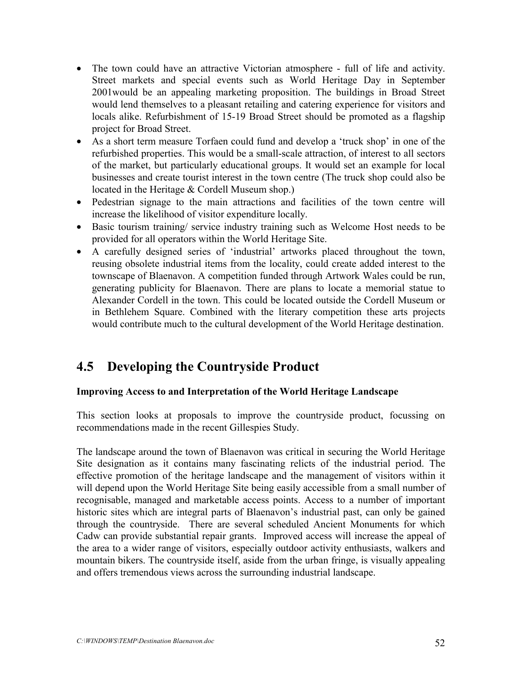- The town could have an attractive Victorian atmosphere full of life and activity. Street markets and special events such as World Heritage Day in September 2001would be an appealing marketing proposition. The buildings in Broad Street would lend themselves to a pleasant retailing and catering experience for visitors and locals alike. Refurbishment of 15-19 Broad Street should be promoted as a flagship project for Broad Street.
- As a short term measure Torfaen could fund and develop a 'truck shop' in one of the refurbished properties. This would be a small-scale attraction, of interest to all sectors of the market, but particularly educational groups. It would set an example for local businesses and create tourist interest in the town centre (The truck shop could also be located in the Heritage & Cordell Museum shop.)
- Pedestrian signage to the main attractions and facilities of the town centre will increase the likelihood of visitor expenditure locally.
- Basic tourism training/ service industry training such as Welcome Host needs to be provided for all operators within the World Heritage Site.
- A carefully designed series of 'industrial' artworks placed throughout the town, reusing obsolete industrial items from the locality, could create added interest to the townscape of Blaenavon. A competition funded through Artwork Wales could be run, generating publicity for Blaenavon. There are plans to locate a memorial statue to Alexander Cordell in the town. This could be located outside the Cordell Museum or in Bethlehem Square. Combined with the literary competition these arts projects would contribute much to the cultural development of the World Heritage destination.

### **4.5 Developing the Countryside Product**

### **Improving Access to and Interpretation of the World Heritage Landscape**

This section looks at proposals to improve the countryside product, focussing on recommendations made in the recent Gillespies Study.

The landscape around the town of Blaenavon was critical in securing the World Heritage Site designation as it contains many fascinating relicts of the industrial period. The effective promotion of the heritage landscape and the management of visitors within it will depend upon the World Heritage Site being easily accessible from a small number of recognisable, managed and marketable access points. Access to a number of important historic sites which are integral parts of Blaenavon's industrial past, can only be gained through the countryside. There are several scheduled Ancient Monuments for which Cadw can provide substantial repair grants. Improved access will increase the appeal of the area to a wider range of visitors, especially outdoor activity enthusiasts, walkers and mountain bikers. The countryside itself, aside from the urban fringe, is visually appealing and offers tremendous views across the surrounding industrial landscape.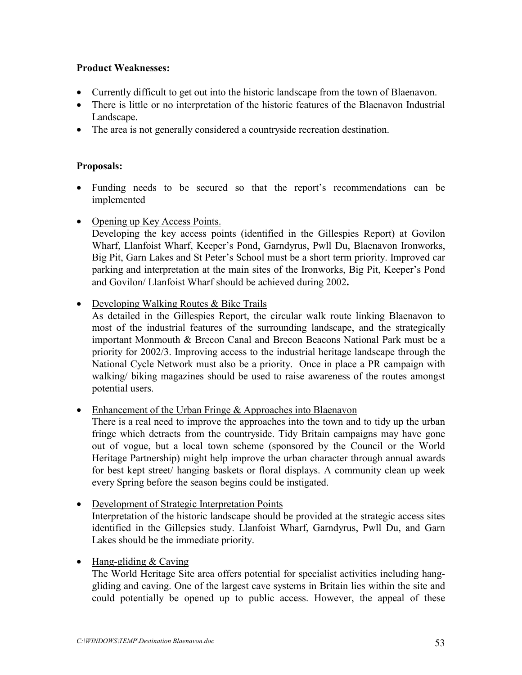### **Product Weaknesses:**

- Currently difficult to get out into the historic landscape from the town of Blaenavon.
- There is little or no interpretation of the historic features of the Blaenavon Industrial Landscape.
- The area is not generally considered a country side recreation destination.

### **Proposals:**

- Funding needs to be secured so that the report's recommendations can be implemented
- Opening up Key Access Points.

Developing the key access points (identified in the Gillespies Report) at Govilon Wharf, Llanfoist Wharf, Keeper's Pond, Garndyrus, Pwll Du, Blaenavon Ironworks, Big Pit, Garn Lakes and St Peter's School must be a short term priority. Improved car parking and interpretation at the main sites of the Ironworks, Big Pit, Keeper's Pond and Govilon/ Llanfoist Wharf should be achieved during 2002**.**

• Developing Walking Routes & Bike Trails

As detailed in the Gillespies Report, the circular walk route linking Blaenavon to most of the industrial features of the surrounding landscape, and the strategically important Monmouth & Brecon Canal and Brecon Beacons National Park must be a priority for 2002/3. Improving access to the industrial heritage landscape through the National Cycle Network must also be a priority. Once in place a PR campaign with walking/ biking magazines should be used to raise awareness of the routes amongst potential users.

• Enhancement of the Urban Fringe & Approaches into Blaenavon

There is a real need to improve the approaches into the town and to tidy up the urban fringe which detracts from the countryside. Tidy Britain campaigns may have gone out of vogue, but a local town scheme (sponsored by the Council or the World Heritage Partnership) might help improve the urban character through annual awards for best kept street/ hanging baskets or floral displays. A community clean up week every Spring before the season begins could be instigated.

- Development of Strategic Interpretation Points Interpretation of the historic landscape should be provided at the strategic access sites identified in the Gillepsies study. Llanfoist Wharf, Garndyrus, Pwll Du, and Garn Lakes should be the immediate priority.
- Hang-gliding & Caving

The World Heritage Site area offers potential for specialist activities including hanggliding and caving. One of the largest cave systems in Britain lies within the site and could potentially be opened up to public access. However, the appeal of these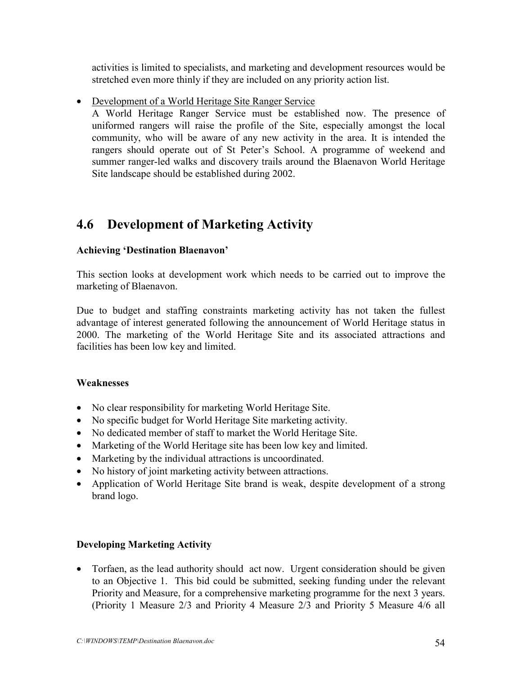activities is limited to specialists, and marketing and development resources would be stretched even more thinly if they are included on any priority action list.

• Development of a World Heritage Site Ranger Service

A World Heritage Ranger Service must be established now. The presence of uniformed rangers will raise the profile of the Site, especially amongst the local community, who will be aware of any new activity in the area. It is intended the rangers should operate out of St Peter's School. A programme of weekend and summer ranger-led walks and discovery trails around the Blaenavon World Heritage Site landscape should be established during 2002.

### **4.6 Development of Marketing Activity**

### **Achieving 'Destination Blaenavon'**

This section looks at development work which needs to be carried out to improve the marketing of Blaenavon.

Due to budget and staffing constraints marketing activity has not taken the fullest advantage of interest generated following the announcement of World Heritage status in 2000. The marketing of the World Heritage Site and its associated attractions and facilities has been low key and limited.

### **Weaknesses**

- No clear responsibility for marketing World Heritage Site.
- No specific budget for World Heritage Site marketing activity.
- No dedicated member of staff to market the World Heritage Site.
- Marketing of the World Heritage site has been low key and limited.
- Marketing by the individual attractions is uncoordinated.
- No history of joint marketing activity between attractions.
- Application of World Heritage Site brand is weak, despite development of a strong brand logo.

### **Developing Marketing Activity**

• Torfaen, as the lead authority should act now. Urgent consideration should be given to an Objective 1. This bid could be submitted, seeking funding under the relevant Priority and Measure, for a comprehensive marketing programme for the next 3 years. (Priority 1 Measure 2/3 and Priority 4 Measure 2/3 and Priority 5 Measure 4/6 all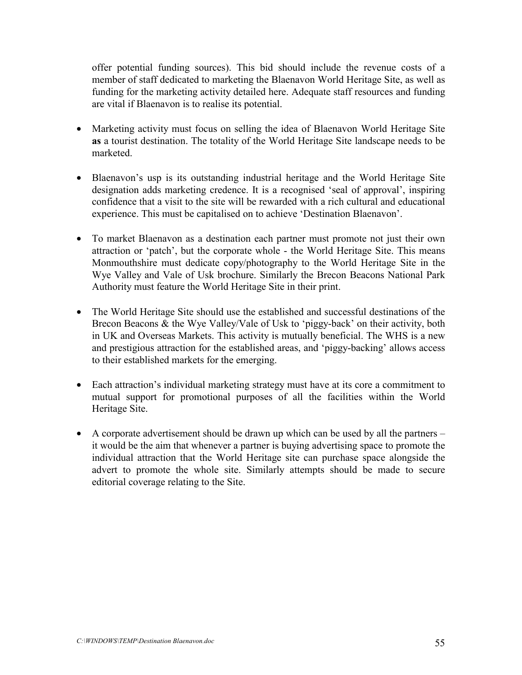offer potential funding sources). This bid should include the revenue costs of a member of staff dedicated to marketing the Blaenavon World Heritage Site, as well as funding for the marketing activity detailed here. Adequate staff resources and funding are vital if Blaenavon is to realise its potential.

- Marketing activity must focus on selling the idea of Blaenavon World Heritage Site **as** a tourist destination. The totality of the World Heritage Site landscape needs to be marketed.
- Blaenavon's usp is its outstanding industrial heritage and the World Heritage Site designation adds marketing credence. It is a recognised 'seal of approval', inspiring confidence that a visit to the site will be rewarded with a rich cultural and educational experience. This must be capitalised on to achieve 'Destination Blaenavon'.
- To market Blaenavon as a destination each partner must promote not just their own attraction or 'patch', but the corporate whole - the World Heritage Site. This means Monmouthshire must dedicate copy/photography to the World Heritage Site in the Wye Valley and Vale of Usk brochure. Similarly the Brecon Beacons National Park Authority must feature the World Heritage Site in their print.
- The World Heritage Site should use the established and successful destinations of the Brecon Beacons & the Wye Valley/Vale of Usk to 'piggy-back' on their activity, both in UK and Overseas Markets. This activity is mutually beneficial. The WHS is a new and prestigious attraction for the established areas, and 'piggy-backing' allows access to their established markets for the emerging.
- Each attraction's individual marketing strategy must have at its core a commitment to mutual support for promotional purposes of all the facilities within the World Heritage Site.
- A corporate advertisement should be drawn up which can be used by all the partners it would be the aim that whenever a partner is buying advertising space to promote the individual attraction that the World Heritage site can purchase space alongside the advert to promote the whole site. Similarly attempts should be made to secure editorial coverage relating to the Site.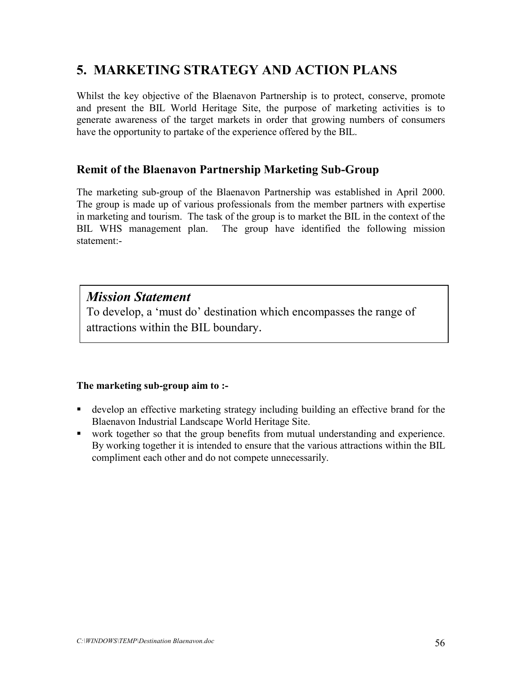### **5. MARKETING STRATEGY AND ACTION PLANS**

Whilst the key objective of the Blaenavon Partnership is to protect, conserve, promote and present the BIL World Heritage Site, the purpose of marketing activities is to generate awareness of the target markets in order that growing numbers of consumers have the opportunity to partake of the experience offered by the BIL.

### **Remit of the Blaenavon Partnership Marketing Sub-Group**

The marketing sub-group of the Blaenavon Partnership was established in April 2000. The group is made up of various professionals from the member partners with expertise in marketing and tourism. The task of the group is to market the BIL in the context of the BIL WHS management plan. The group have identified the following mission statement:-

### *Mission Statement*

To develop, a 'must do' destination which encompasses the range of attractions within the BIL boundary.

### **The marketing sub-group aim to :-**

- develop an effective marketing strategy including building an effective brand for the Blaenavon Industrial Landscape World Heritage Site.
- work together so that the group benefits from mutual understanding and experience. By working together it is intended to ensure that the various attractions within the BIL compliment each other and do not compete unnecessarily.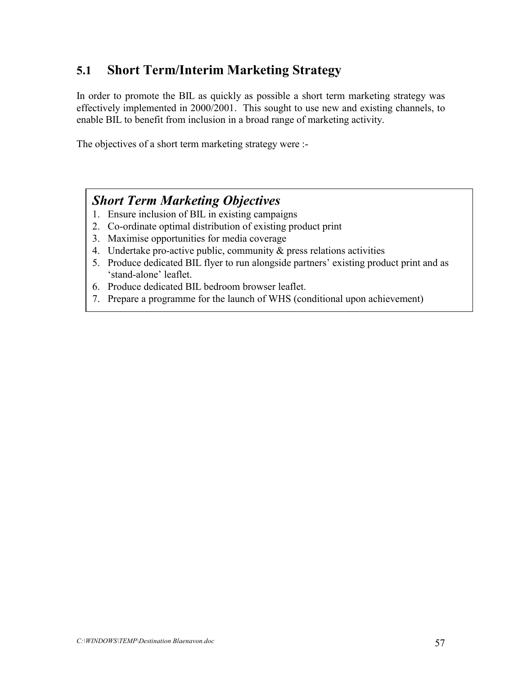### **5.1 Short Term/Interim Marketing Strategy**

In order to promote the BIL as quickly as possible a short term marketing strategy was effectively implemented in 2000/2001. This sought to use new and existing channels, to enable BIL to benefit from inclusion in a broad range of marketing activity.

The objectives of a short term marketing strategy were :-

### *Short Term Marketing Objectives*

- 1. Ensure inclusion of BIL in existing campaigns
- 2. Co-ordinate optimal distribution of existing product print
- 3. Maximise opportunities for media coverage
- 4. Undertake pro-active public, community & press relations activities
- 5. Produce dedicated BIL flyer to run alongside partners' existing product print and as 'stand-alone' leaflet.
- 6. Produce dedicated BIL bedroom browser leaflet.
- 7. Prepare a programme for the launch of WHS (conditional upon achievement)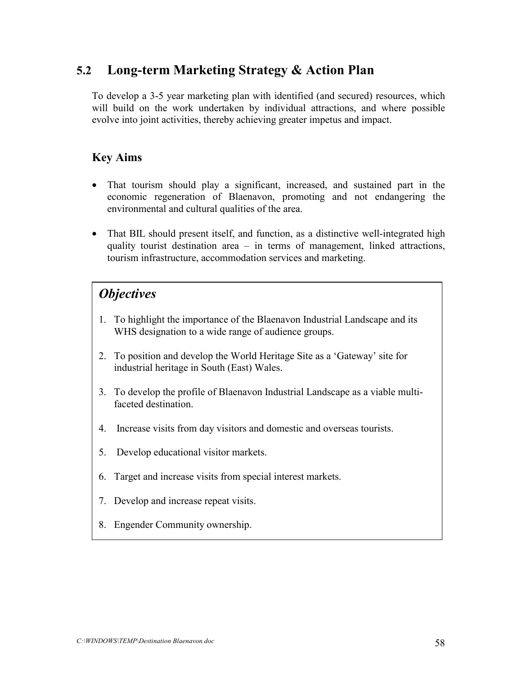### **5.2 Long-term Marketing Strategy & Action Plan**

To develop a 3-5 year marketing plan with identified (and secured) resources, which will build on the work undertaken by individual attractions, and where possible evolve into joint activities, thereby achieving greater impetus and impact.

### **Key Aims**

- That tourism should play a significant, increased, and sustained part in the economic regeneration of Blaenavon, promoting and not endangering the environmental and cultural qualities of the area.
- That BIL should present itself, and function, as a distinctive well-integrated high quality tourist destination area – in terms of management, linked attractions, tourism infrastructure, accommodation services and marketing.

### *Objectives*

- 1. To highlight the importance of the Blaenavon Industrial Landscape and its WHS designation to a wide range of audience groups.
- 2. To position and develop the World Heritage Site as a 'Gateway' site for industrial heritage in South (East) Wales.
- 3. To develop the profile of Blaenavon Industrial Landscape as a viable multifaceted destination.
- 4. Increase visits from day visitors and domestic and overseas tourists.
- 5. Develop educational visitor markets.
- 6. Target and increase visits from special interest markets.
- 7. Develop and increase repeat visits.
- 8. Engender Community ownership.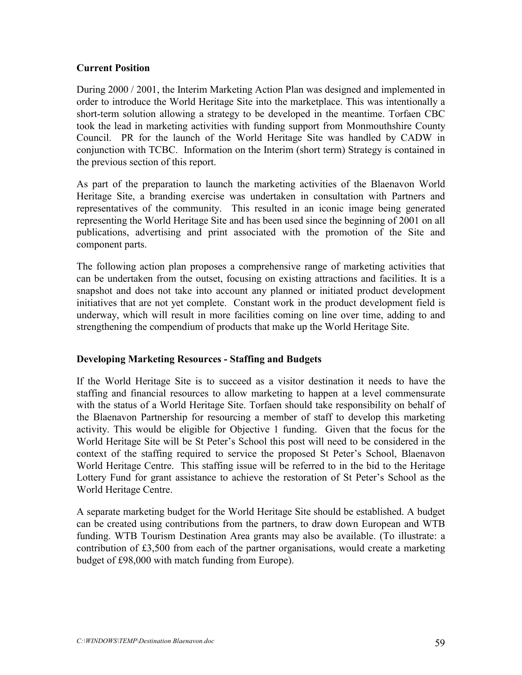### **Current Position**

During 2000 / 2001, the Interim Marketing Action Plan was designed and implemented in order to introduce the World Heritage Site into the marketplace. This was intentionally a short-term solution allowing a strategy to be developed in the meantime. Torfaen CBC took the lead in marketing activities with funding support from Monmouthshire County Council. PR for the launch of the World Heritage Site was handled by CADW in conjunction with TCBC. Information on the Interim (short term) Strategy is contained in the previous section of this report.

As part of the preparation to launch the marketing activities of the Blaenavon World Heritage Site, a branding exercise was undertaken in consultation with Partners and representatives of the community. This resulted in an iconic image being generated representing the World Heritage Site and has been used since the beginning of 2001 on all publications, advertising and print associated with the promotion of the Site and component parts.

The following action plan proposes a comprehensive range of marketing activities that can be undertaken from the outset, focusing on existing attractions and facilities. It is a snapshot and does not take into account any planned or initiated product development initiatives that are not yet complete. Constant work in the product development field is underway, which will result in more facilities coming on line over time, adding to and strengthening the compendium of products that make up the World Heritage Site.

### **Developing Marketing Resources - Staffing and Budgets**

If the World Heritage Site is to succeed as a visitor destination it needs to have the staffing and financial resources to allow marketing to happen at a level commensurate with the status of a World Heritage Site. Torfaen should take responsibility on behalf of the Blaenavon Partnership for resourcing a member of staff to develop this marketing activity. This would be eligible for Objective 1 funding. Given that the focus for the World Heritage Site will be St Peter's School this post will need to be considered in the context of the staffing required to service the proposed St Peter's School, Blaenavon World Heritage Centre. This staffing issue will be referred to in the bid to the Heritage Lottery Fund for grant assistance to achieve the restoration of St Peter's School as the World Heritage Centre.

A separate marketing budget for the World Heritage Site should be established. A budget can be created using contributions from the partners, to draw down European and WTB funding. WTB Tourism Destination Area grants may also be available. (To illustrate: a contribution of £3,500 from each of the partner organisations, would create a marketing budget of £98,000 with match funding from Europe).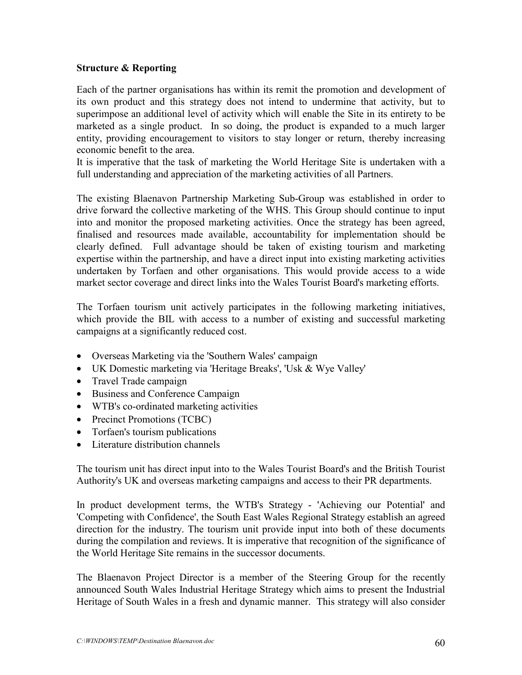### **Structure & Reporting**

Each of the partner organisations has within its remit the promotion and development of its own product and this strategy does not intend to undermine that activity, but to superimpose an additional level of activity which will enable the Site in its entirety to be marketed as a single product. In so doing, the product is expanded to a much larger entity, providing encouragement to visitors to stay longer or return, thereby increasing economic benefit to the area.

It is imperative that the task of marketing the World Heritage Site is undertaken with a full understanding and appreciation of the marketing activities of all Partners.

The existing Blaenavon Partnership Marketing Sub-Group was established in order to drive forward the collective marketing of the WHS. This Group should continue to input into and monitor the proposed marketing activities. Once the strategy has been agreed, finalised and resources made available, accountability for implementation should be clearly defined. Full advantage should be taken of existing tourism and marketing expertise within the partnership, and have a direct input into existing marketing activities undertaken by Torfaen and other organisations. This would provide access to a wide market sector coverage and direct links into the Wales Tourist Board's marketing efforts.

The Torfaen tourism unit actively participates in the following marketing initiatives, which provide the BIL with access to a number of existing and successful marketing campaigns at a significantly reduced cost.

- Overseas Marketing via the 'Southern Wales' campaign
- UK Domestic marketing via 'Heritage Breaks', 'Usk & Wye Valley'
- Travel Trade campaign
- Business and Conference Campaign
- WTB's co-ordinated marketing activities
- Precinct Promotions (TCBC)
- Torfaen's tourism publications
- Literature distribution channels

The tourism unit has direct input into to the Wales Tourist Board's and the British Tourist Authority's UK and overseas marketing campaigns and access to their PR departments.

In product development terms, the WTB's Strategy - 'Achieving our Potential' and 'Competing with Confidence', the South East Wales Regional Strategy establish an agreed direction for the industry. The tourism unit provide input into both of these documents during the compilation and reviews. It is imperative that recognition of the significance of the World Heritage Site remains in the successor documents.

The Blaenavon Project Director is a member of the Steering Group for the recently announced South Wales Industrial Heritage Strategy which aims to present the Industrial Heritage of South Wales in a fresh and dynamic manner. This strategy will also consider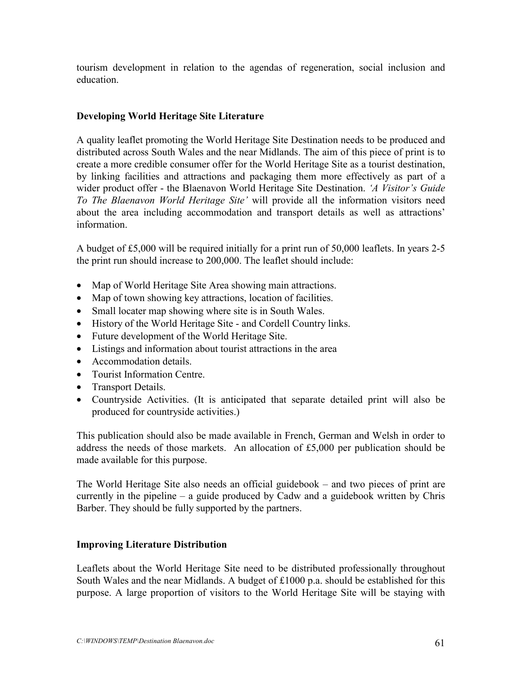tourism development in relation to the agendas of regeneration, social inclusion and education.

### **Developing World Heritage Site Literature**

A quality leaflet promoting the World Heritage Site Destination needs to be produced and distributed across South Wales and the near Midlands. The aim of this piece of print is to create a more credible consumer offer for the World Heritage Site as a tourist destination, by linking facilities and attractions and packaging them more effectively as part of a wider product offer - the Blaenavon World Heritage Site Destination. *'A Visitor's Guide To The Blaenavon World Heritage Site'* will provide all the information visitors need about the area including accommodation and transport details as well as attractions' information.

A budget of £5,000 will be required initially for a print run of 50,000 leaflets. In years 2-5 the print run should increase to 200,000. The leaflet should include:

- Map of World Heritage Site Area showing main attractions.
- Map of town showing key attractions, location of facilities.
- Small locater map showing where site is in South Wales.
- History of the World Heritage Site and Cordell Country links.
- Future development of the World Heritage Site.
- Listings and information about tourist attractions in the area
- Accommodation details.
- Tourist Information Centre.
- Transport Details.
- Countryside Activities. (It is anticipated that separate detailed print will also be produced for countryside activities.)

This publication should also be made available in French, German and Welsh in order to address the needs of those markets. An allocation of £5,000 per publication should be made available for this purpose.

The World Heritage Site also needs an official guidebook – and two pieces of print are currently in the pipeline – a guide produced by Cadw and a guidebook written by Chris Barber. They should be fully supported by the partners.

### **Improving Literature Distribution**

Leaflets about the World Heritage Site need to be distributed professionally throughout South Wales and the near Midlands. A budget of £1000 p.a. should be established for this purpose. A large proportion of visitors to the World Heritage Site will be staying with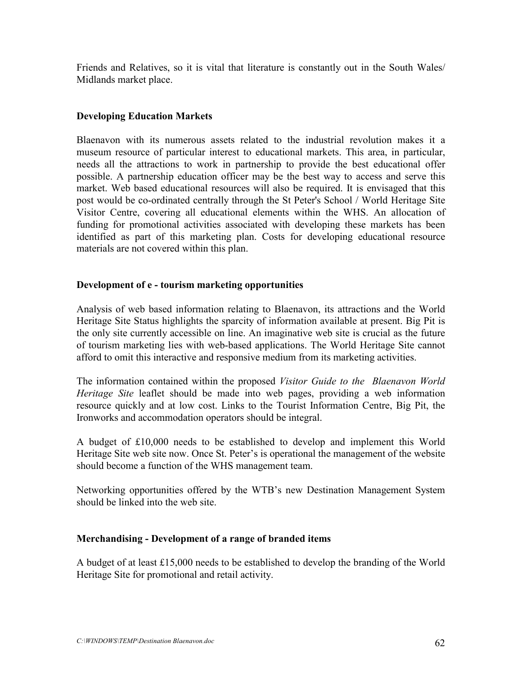Friends and Relatives, so it is vital that literature is constantly out in the South Wales/ Midlands market place.

### **Developing Education Markets**

Blaenavon with its numerous assets related to the industrial revolution makes it a museum resource of particular interest to educational markets. This area, in particular, needs all the attractions to work in partnership to provide the best educational offer possible. A partnership education officer may be the best way to access and serve this market. Web based educational resources will also be required. It is envisaged that this post would be co-ordinated centrally through the St Peter's School / World Heritage Site Visitor Centre, covering all educational elements within the WHS. An allocation of funding for promotional activities associated with developing these markets has been identified as part of this marketing plan. Costs for developing educational resource materials are not covered within this plan.

### **Development of e - tourism marketing opportunities**

Analysis of web based information relating to Blaenavon, its attractions and the World Heritage Site Status highlights the sparcity of information available at present. Big Pit is the only site currently accessible on line. An imaginative web site is crucial as the future of tourism marketing lies with web-based applications. The World Heritage Site cannot afford to omit this interactive and responsive medium from its marketing activities.

The information contained within the proposed *Visitor Guide to the Blaenavon World Heritage Site* leaflet should be made into web pages, providing a web information resource quickly and at low cost. Links to the Tourist Information Centre, Big Pit, the Ironworks and accommodation operators should be integral.

A budget of £10,000 needs to be established to develop and implement this World Heritage Site web site now. Once St. Peter's is operational the management of the website should become a function of the WHS management team.

Networking opportunities offered by the WTB's new Destination Management System should be linked into the web site.

### **Merchandising - Development of a range of branded items**

A budget of at least £15,000 needs to be established to develop the branding of the World Heritage Site for promotional and retail activity.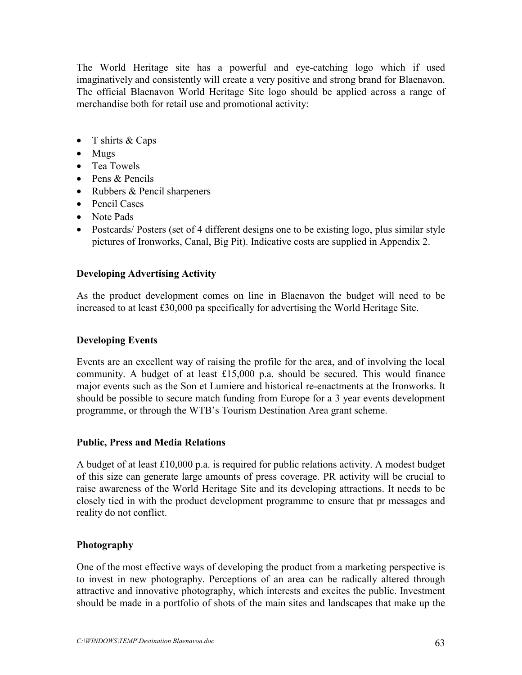The World Heritage site has a powerful and eye-catching logo which if used imaginatively and consistently will create a very positive and strong brand for Blaenavon. The official Blaenavon World Heritage Site logo should be applied across a range of merchandise both for retail use and promotional activity:

- T shirts & Caps
- Mugs
- Tea Towels
- Pens & Pencils
- Rubbers & Pencil sharpeners
- Pencil Cases
- Note Pads
- Postcards/Posters (set of 4 different designs one to be existing logo, plus similar style pictures of Ironworks, Canal, Big Pit). Indicative costs are supplied in Appendix 2.

### **Developing Advertising Activity**

As the product development comes on line in Blaenavon the budget will need to be increased to at least £30,000 pa specifically for advertising the World Heritage Site.

### **Developing Events**

Events are an excellent way of raising the profile for the area, and of involving the local community. A budget of at least £15,000 p.a. should be secured. This would finance major events such as the Son et Lumiere and historical re-enactments at the Ironworks. It should be possible to secure match funding from Europe for a 3 year events development programme, or through the WTB's Tourism Destination Area grant scheme.

### **Public, Press and Media Relations**

A budget of at least £10,000 p.a. is required for public relations activity. A modest budget of this size can generate large amounts of press coverage. PR activity will be crucial to raise awareness of the World Heritage Site and its developing attractions. It needs to be closely tied in with the product development programme to ensure that pr messages and reality do not conflict.

### **Photography**

One of the most effective ways of developing the product from a marketing perspective is to invest in new photography. Perceptions of an area can be radically altered through attractive and innovative photography, which interests and excites the public. Investment should be made in a portfolio of shots of the main sites and landscapes that make up the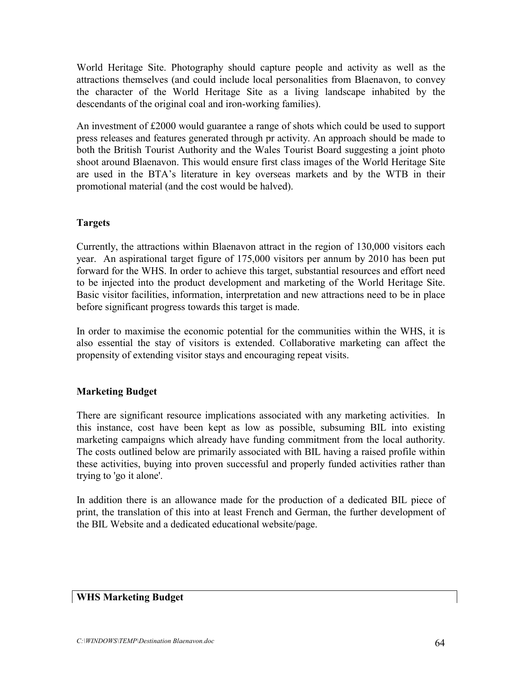World Heritage Site. Photography should capture people and activity as well as the attractions themselves (and could include local personalities from Blaenavon, to convey the character of the World Heritage Site as a living landscape inhabited by the descendants of the original coal and iron-working families).

An investment of £2000 would guarantee a range of shots which could be used to support press releases and features generated through pr activity. An approach should be made to both the British Tourist Authority and the Wales Tourist Board suggesting a joint photo shoot around Blaenavon. This would ensure first class images of the World Heritage Site are used in the BTA's literature in key overseas markets and by the WTB in their promotional material (and the cost would be halved).

### **Targets**

Currently, the attractions within Blaenavon attract in the region of 130,000 visitors each year. An aspirational target figure of 175,000 visitors per annum by 2010 has been put forward for the WHS. In order to achieve this target, substantial resources and effort need to be injected into the product development and marketing of the World Heritage Site. Basic visitor facilities, information, interpretation and new attractions need to be in place before significant progress towards this target is made.

In order to maximise the economic potential for the communities within the WHS, it is also essential the stay of visitors is extended. Collaborative marketing can affect the propensity of extending visitor stays and encouraging repeat visits.

### **Marketing Budget**

There are significant resource implications associated with any marketing activities. In this instance, cost have been kept as low as possible, subsuming BIL into existing marketing campaigns which already have funding commitment from the local authority. The costs outlined below are primarily associated with BIL having a raised profile within these activities, buying into proven successful and properly funded activities rather than trying to 'go it alone'.

In addition there is an allowance made for the production of a dedicated BIL piece of print, the translation of this into at least French and German, the further development of the BIL Website and a dedicated educational website/page.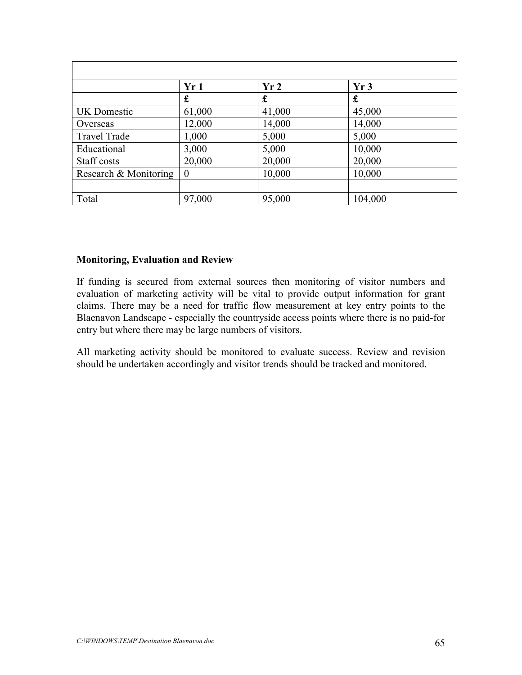|                       | Yr1            | Yr <sub>2</sub> | Yr3     |  |
|-----------------------|----------------|-----------------|---------|--|
|                       | £              | £               | £       |  |
| UK Domestic           | 61,000         | 41,000          | 45,000  |  |
| Overseas              | 12,000         | 14,000          | 14,000  |  |
| <b>Travel Trade</b>   | 1,000          | 5,000           | 5,000   |  |
| Educational           | 3,000          | 5,000           | 10,000  |  |
| Staff costs           | 20,000         | 20,000          | 20,000  |  |
| Research & Monitoring | $\overline{0}$ | 10,000          | 10,000  |  |
|                       |                |                 |         |  |
| Total                 | 97,000         | 95,000          | 104,000 |  |

#### **Monitoring, Evaluation and Review**

If funding is secured from external sources then monitoring of visitor numbers and evaluation of marketing activity will be vital to provide output information for grant claims. There may be a need for traffic flow measurement at key entry points to the Blaenavon Landscape - especially the countryside access points where there is no paid-for entry but where there may be large numbers of visitors.

All marketing activity should be monitored to evaluate success. Review and revision should be undertaken accordingly and visitor trends should be tracked and monitored.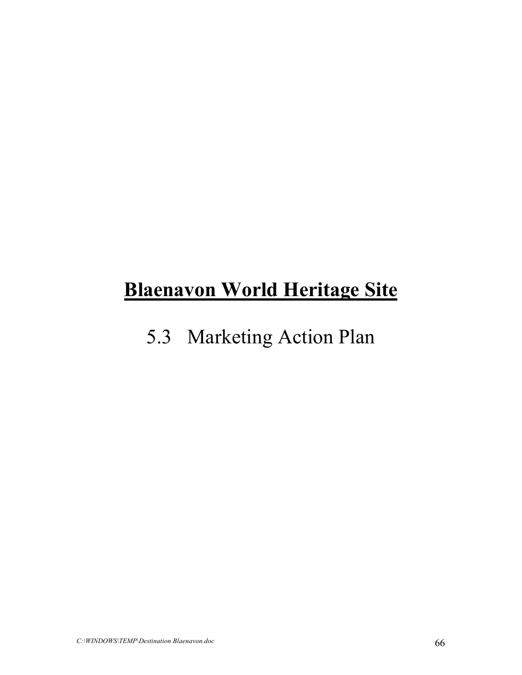## **Blaenavon World Heritage Site**

## 5.3 Marketing Action Plan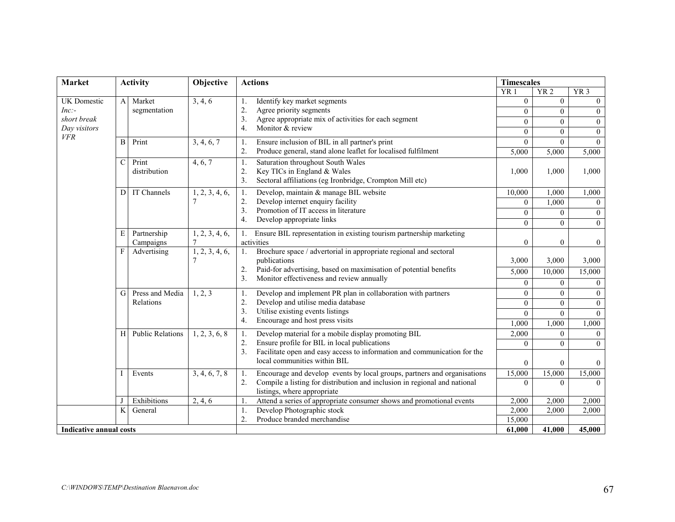| <b>Market</b><br><b>Activity</b> |                           | Objective             | <b>Actions</b>                                                                                                                                                                                                                                     |                                                                                                                | <b>Timescales</b> |                 |                 |  |
|----------------------------------|---------------------------|-----------------------|----------------------------------------------------------------------------------------------------------------------------------------------------------------------------------------------------------------------------------------------------|----------------------------------------------------------------------------------------------------------------|-------------------|-----------------|-----------------|--|
|                                  |                           |                       |                                                                                                                                                                                                                                                    |                                                                                                                | YR <sub>1</sub>   | YR <sub>2</sub> | YR <sub>3</sub> |  |
| UK Domestic                      |                           | A Market              | 3, 4, 6                                                                                                                                                                                                                                            | Identify key market segments<br>1.                                                                             | $\overline{0}$    | $\overline{0}$  | $\overline{0}$  |  |
| $Inc$ :-                         |                           | segmentation          |                                                                                                                                                                                                                                                    | 2.<br>Agree priority segments                                                                                  | $\theta$          | $\overline{0}$  | $\overline{0}$  |  |
| short break                      |                           |                       |                                                                                                                                                                                                                                                    | 3.<br>Agree appropriate mix of activities for each segment                                                     | $\overline{0}$    | $\theta$        | $\mathbf{0}$    |  |
| Day visitors<br><b>VFR</b>       |                           |                       |                                                                                                                                                                                                                                                    | Monitor & review<br>$\overline{4}$ .                                                                           | $\Omega$          | $\theta$        | $\mathbf{0}$    |  |
|                                  | $\mathbf{B}$              | Print                 | 3, 4, 6, 7                                                                                                                                                                                                                                         | Ensure inclusion of BIL in all partner's print<br>1.                                                           | $\overline{0}$    | $\theta$        | $\theta$        |  |
|                                  |                           |                       |                                                                                                                                                                                                                                                    | Produce general, stand alone leaflet for localised fulfilment<br>2.                                            | 5,000             | 5,000           | 5,000           |  |
|                                  | C                         | Print<br>distribution | 4, 6, 7                                                                                                                                                                                                                                            | Saturation throughout South Wales<br>1.                                                                        |                   |                 |                 |  |
|                                  |                           |                       |                                                                                                                                                                                                                                                    | 2.<br>Key TICs in England & Wales                                                                              | 1,000             | 1,000           | 1,000           |  |
|                                  |                           |                       |                                                                                                                                                                                                                                                    | $\overline{3}$ .<br>Sectoral affiliations (eg Ironbridge, Crompton Mill etc)                                   |                   |                 |                 |  |
|                                  | $\mathbf{D}$              | IT Channels           | 1, 2, 3, 4, 6,                                                                                                                                                                                                                                     | Develop, maintain & manage BIL website<br>1.                                                                   | 10,000            | 1,000           | 1,000           |  |
|                                  |                           |                       | $\tau$                                                                                                                                                                                                                                             | Develop internet enquiry facility<br>2.                                                                        | $\theta$          | 1,000           | $\Omega$        |  |
|                                  |                           |                       | 3.                                                                                                                                                                                                                                                 | Promotion of IT access in literature                                                                           | $\theta$          | $\Omega$        | $\mathbf{0}$    |  |
|                                  |                           |                       |                                                                                                                                                                                                                                                    | Develop appropriate links<br>4.                                                                                | $\Omega$          | $\Omega$        | $\theta$        |  |
|                                  | E                         | Partnership           | 1, 2, 3, 4, 6,                                                                                                                                                                                                                                     | Ensure BIL representation in existing tourism partnership marketing<br>1.                                      |                   |                 |                 |  |
|                                  |                           | Campaigns             | $\overline{7}$                                                                                                                                                                                                                                     | activities                                                                                                     | $\theta$          | $\theta$        | $\bf{0}$        |  |
|                                  | $\boldsymbol{\mathrm{F}}$ | Advertising           | 1, 2, 3, 4, 6,<br>1.<br>publications<br>2.<br>3.                                                                                                                                                                                                   | Brochure space / advertorial in appropriate regional and sectoral                                              |                   |                 |                 |  |
|                                  |                           |                       |                                                                                                                                                                                                                                                    |                                                                                                                | 3,000             | 3,000           | 3,000           |  |
|                                  |                           |                       |                                                                                                                                                                                                                                                    | Paid-for advertising, based on maximisation of potential benefits<br>Monitor effectiveness and review annually | 5,000             | 10,000          | 15,000          |  |
|                                  |                           |                       |                                                                                                                                                                                                                                                    |                                                                                                                | $\theta$          | $\theta$        | $\overline{0}$  |  |
|                                  | $\mathbf{G}$              | Press and Media       | 1, 2, 3<br>1.<br>2.                                                                                                                                                                                                                                | Develop and implement PR plan in collaboration with partners                                                   | $\Omega$          | $\theta$        | $\mathbf{0}$    |  |
|                                  |                           | Relations             |                                                                                                                                                                                                                                                    | Develop and utilise media database                                                                             | $\Omega$          | $\theta$        | $\mathbf{0}$    |  |
|                                  |                           |                       |                                                                                                                                                                                                                                                    | 3.<br>Utilise existing events listings                                                                         | $\Omega$          | $\Omega$        | $\theta$        |  |
|                                  |                           |                       |                                                                                                                                                                                                                                                    | Encourage and host press visits<br>$\overline{4}$ .                                                            | 1,000             | 1,000           | 1,000           |  |
|                                  |                           | H Public Relations    | Develop material for a mobile display promoting BIL<br>1, 2, 3, 6, 8<br>1.<br>Ensure profile for BIL in local publications<br>2.<br>3.<br>Facilitate open and easy access to information and communication for the<br>local communities within BIL |                                                                                                                | 2,000             | $\Omega$        | $\theta$        |  |
|                                  |                           |                       |                                                                                                                                                                                                                                                    |                                                                                                                | $\theta$          | $\theta$        | $\theta$        |  |
|                                  |                           |                       |                                                                                                                                                                                                                                                    |                                                                                                                |                   |                 |                 |  |
|                                  |                           |                       |                                                                                                                                                                                                                                                    |                                                                                                                | $\Omega$          | $\theta$        | $\theta$        |  |
|                                  |                           | Events                | 3, 4, 6, 7, 8                                                                                                                                                                                                                                      | Encourage and develop events by local groups, partners and organisations<br>1.                                 | 15,000            | 15,000          | 15,000          |  |
|                                  |                           |                       |                                                                                                                                                                                                                                                    | Compile a listing for distribution and inclusion in regional and national<br>2.                                | $\Omega$          | $\Omega$        | $\Omega$        |  |
|                                  |                           |                       |                                                                                                                                                                                                                                                    | listings, where appropriate                                                                                    |                   |                 |                 |  |
|                                  |                           | Exhibitions           | 2, 4, 6                                                                                                                                                                                                                                            | Attend a series of appropriate consumer shows and promotional events                                           | 2,000             | 2,000           | 2,000           |  |
|                                  | $\rm K$                   | General               |                                                                                                                                                                                                                                                    | Develop Photographic stock<br>1.<br>Produce branded merchandise                                                | 2,000             | 2,000           | 2,000           |  |
|                                  |                           |                       |                                                                                                                                                                                                                                                    | $\overline{2}$ .                                                                                               | 15,000            |                 |                 |  |
| <b>Indicative annual costs</b>   |                           |                       |                                                                                                                                                                                                                                                    | 61,000                                                                                                         | 41,000            | 45,000          |                 |  |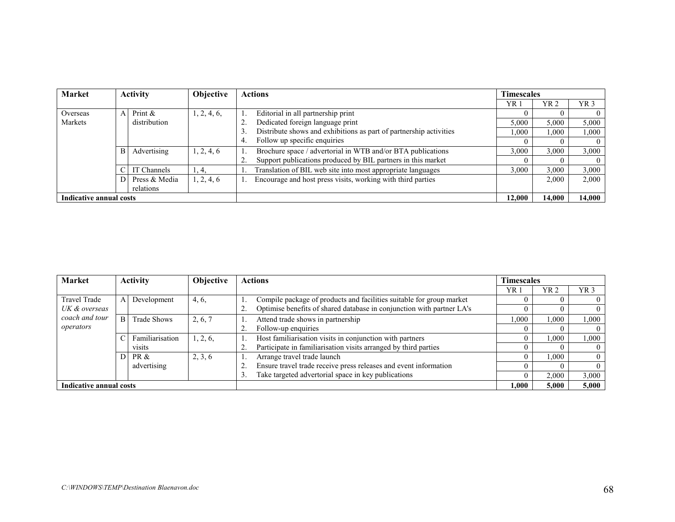| <b>Market</b>           | <b>Activity</b><br>Objective |                                | <b>Actions</b> |        | <b>Timescales</b>                                                  |        |       |                 |
|-------------------------|------------------------------|--------------------------------|----------------|--------|--------------------------------------------------------------------|--------|-------|-----------------|
|                         |                              |                                |                |        |                                                                    | YR 1   | YR 2  | YR <sub>3</sub> |
| Overseas                | ΑI                           | Print &                        | 1, 2, 4, 6,    |        | Editorial in all partnership print                                 |        |       |                 |
| Markets                 |                              | distribution                   |                | 2.     | Dedicated foreign language print                                   | 5,000  | 5,000 | 5,000           |
|                         |                              |                                |                |        | Distribute shows and exhibitions as part of partnership activities | .000   | 000.1 | 1,000           |
|                         |                              |                                |                | 4.     | Follow up specific enquiries                                       |        |       | $\theta$        |
|                         |                              | Advertising<br>$\vert B \vert$ | 1, 2, 4, 6     |        | Brochure space / advertorial in WTB and/or BTA publications        | 3,000  | 3,000 | 3,000           |
|                         |                              |                                |                |        | Support publications produced by BIL partners in this market       |        |       | $\overline{0}$  |
|                         |                              | IT Channels                    | 1, 4,          |        | Translation of BIL web site into most appropriate languages        | 3.000  | 3,000 | 3,000           |
|                         |                              | Press & Media                  | 1, 2, 4, 6     |        | Encourage and host press visits, working with third parties        |        | 2,000 | 2,000           |
|                         |                              | relations                      |                |        |                                                                    |        |       |                 |
| Indicative annual costs |                              |                                |                | 12,000 | 14.000                                                             | 14.000 |       |                 |

| <b>Market</b>               | <b>Activity</b><br>Objective |                    | <b>Actions</b> |                                                          | <b>Timescales</b>                                                                               |       |       |                 |
|-----------------------------|------------------------------|--------------------|----------------|----------------------------------------------------------|-------------------------------------------------------------------------------------------------|-------|-------|-----------------|
|                             |                              |                    |                |                                                          |                                                                                                 | YR.   | YR 2  | YR <sub>3</sub> |
| <b>Travel Trade</b>         | A                            | Development        | 4, 6,          |                                                          | Compile package of products and facilities suitable for group market                            |       |       |                 |
| UK & overseas               |                              |                    |                |                                                          | Optimise benefits of shared database in conjunction with partner LA's                           |       |       |                 |
| coach and tour<br>operators | B.                           | <b>Trade Shows</b> | 2, 6, 7        | Attend trade shows in partnership<br>Follow-up enquiries | .000                                                                                            | .000  | 000.  |                 |
|                             |                              |                    |                |                                                          |                                                                                                 |       |       |                 |
|                             |                              | Familiarisation    | 1, 2, 6,       | Host familiarisation visits in conjunction with partners |                                                                                                 | .000  | 000.1 |                 |
|                             |                              | visits             |                |                                                          | Participate in familiarisation visits arranged by third parties                                 |       |       |                 |
|                             | D.                           | PR &               | 2, 3, 6        |                                                          | Arrange travel trade launch<br>Ensure travel trade receive press releases and event information |       | .000  |                 |
|                             |                              | advertising        |                |                                                          |                                                                                                 |       |       |                 |
|                             |                              |                    |                | 3.                                                       | Take targeted advertorial space in key publications                                             |       | 2,000 | 3,000           |
| Indicative annual costs     |                              |                    |                | 1.000                                                    | 5.000                                                                                           | 5.000 |       |                 |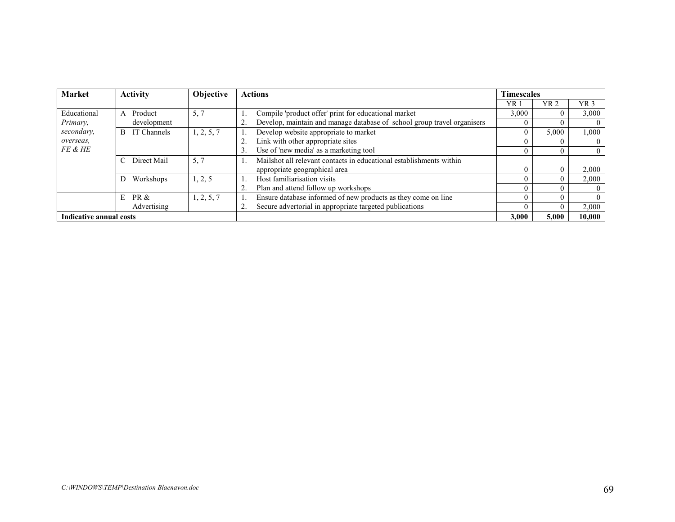| <b>Market</b>           | <b>Activity</b><br>Objective |             | <b>Actions</b> |       | Timescales                                                              |                 |                 |                 |
|-------------------------|------------------------------|-------------|----------------|-------|-------------------------------------------------------------------------|-----------------|-----------------|-----------------|
|                         |                              |             |                |       |                                                                         | YR <sub>1</sub> | YR <sub>2</sub> | YR <sub>3</sub> |
| Educational             | $\mathbf{A}$                 | Product     | 5, 7           |       | Compile 'product offer' print for educational market                    | 3,000           |                 | 3,000           |
| Primary,                |                              | development |                |       | Develop, maintain and manage database of school group travel organisers |                 |                 | $\Omega$        |
| secondary,              | B.                           | IT Channels | 1, 2, 5, 7     |       | Develop website appropriate to market                                   |                 | 5,000           | 1,000           |
| overseas.               |                              |             |                |       | Link with other appropriate sites                                       |                 |                 | $\theta$        |
| FE & HE                 |                              |             |                | 3.    | Use of 'new media' as a marketing tool                                  |                 |                 | $\overline{0}$  |
|                         |                              | Direct Mail | 5, 7           |       | Mailshot all relevant contacts in educational establishments within     |                 |                 |                 |
|                         |                              |             |                |       | appropriate geographical area                                           | $\Omega$        |                 | 2,000           |
|                         | $\overline{D}$               | Workshops   | 1, 2, 5        |       | Host familiarisation visits                                             |                 |                 | 2,000           |
|                         |                              |             |                |       | Plan and attend follow up workshops                                     |                 |                 | $\Omega$        |
|                         | E <sub>1</sub>               | PR &        | 1, 2, 5, 7     |       | Ensure database informed of new products as they come on line           |                 |                 | $\theta$        |
|                         |                              | Advertising |                | 2.    | Secure advertorial in appropriate targeted publications                 |                 |                 | 2,000           |
| Indicative annual costs |                              |             |                | 3.000 | 5.000                                                                   | 10.000          |                 |                 |